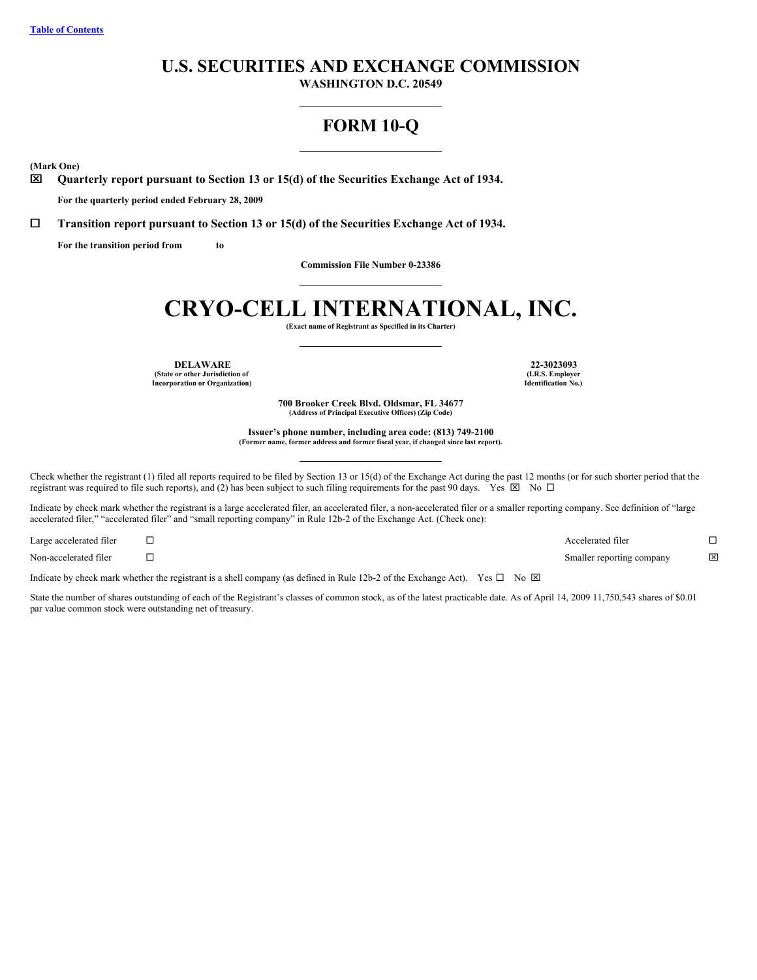# **U.S. SECURITIES AND EXCHANGE COMMISSION**

**WASHINGTON D.C. 20549**

# **FORM 10-Q**

<span id="page-0-0"></span>**(Mark One)**

x **Quarterly report pursuant to Section 13 or 15(d) of the Securities Exchange Act of 1934.**

**For the quarterly period ended February 28, 2009**

¨ **Transition report pursuant to Section 13 or 15(d) of the Securities Exchange Act of 1934.**

**For the transition period from to**

**Commission File Number 0-23386**

# **CRYO-CELL INTERNATIONAL, INC.**

**(Exact name of Registrant as Specified in its Charter)**

**DELAWARE 22-3023093 (State or other Jurisdiction of Incorporation or Organization)**

**(I.R.S. Employer Identification No.)**

**700 Brooker Creek Blvd. Oldsmar, FL 34677 (Address of Principal Executive Offices) (Zip Code)**

**Issuer's phone number, including area code: (813) 749-2100 (Former name, former address and former fiscal year, if changed since last report).**

Check whether the registrant (1) filed all reports required to be filed by Section 13 or 15(d) of the Exchange Act during the past 12 months (or for such shorter period that the registrant was required to file such reports), and (2) has been subject to such filing requirements for the past 90 days. Yes  $\boxtimes$  No  $\Box$ 

Indicate by check mark whether the registrant is a large accelerated filer, an accelerated filer, a non-accelerated filer or a smaller reporting company. See definition of "large accelerated filer," "accelerated filer" and "small reporting company" in Rule 12b-2 of the Exchange Act. (Check one):

| Large accelerated filer | Accelerated filer         |             |
|-------------------------|---------------------------|-------------|
| Non-accelerated filer   | Smaller reporting company | $\boxtimes$ |

Indicate by check mark whether the registrant is a shell company (as defined in Rule 12b-2 of the Exchange Act). Yes  $\Box$  No  $\boxtimes$ 

State the number of shares outstanding of each of the Registrant's classes of common stock, as of the latest practicable date. As of April 14, 2009 11,750,543 shares of \$0.01 par value common stock were outstanding net of treasury.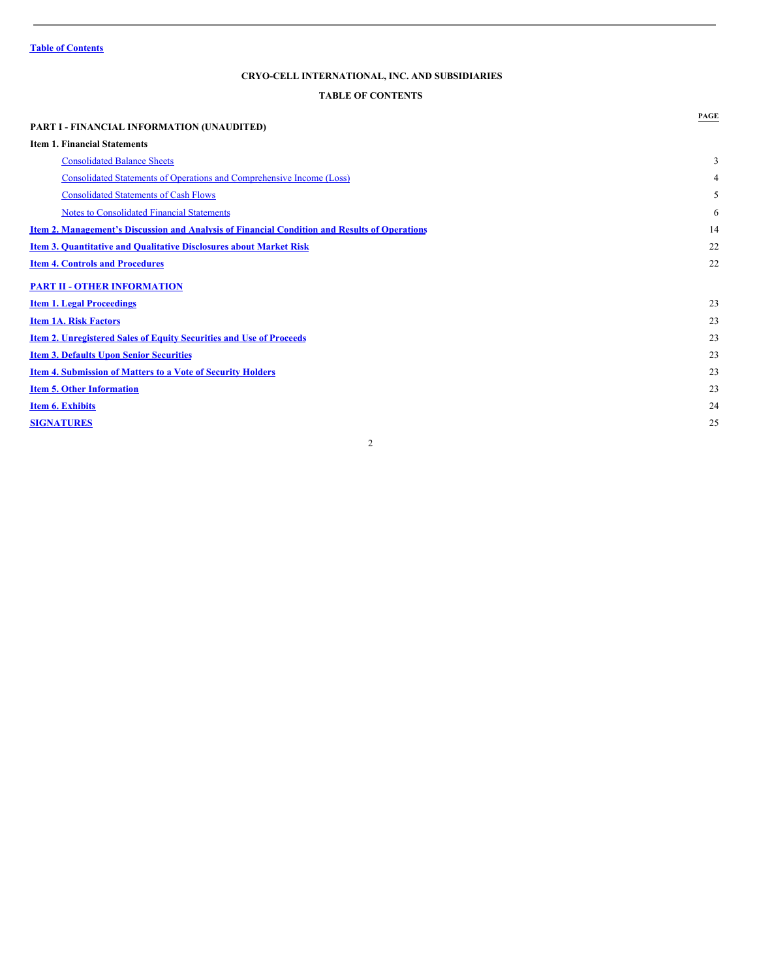# <span id="page-1-0"></span>**TABLE OF CONTENTS**

|                                                                                                      | PAGE |
|------------------------------------------------------------------------------------------------------|------|
| <b>PART I - FINANCIAL INFORMATION (UNAUDITED)</b>                                                    |      |
| <b>Item 1. Financial Statements</b>                                                                  |      |
| <b>Consolidated Balance Sheets</b>                                                                   | 3    |
| <b>Consolidated Statements of Operations and Comprehensive Income (Loss)</b>                         | 4    |
| <b>Consolidated Statements of Cash Flows</b>                                                         | 5    |
| <b>Notes to Consolidated Financial Statements</b>                                                    | 6    |
| <u>Item 2. Management's Discussion and Analysis of Financial Condition and Results of Operations</u> | 14   |
| Item 3. Quantitative and Qualitative Disclosures about Market Risk                                   | 22   |
| <b>Item 4. Controls and Procedures</b>                                                               | 22   |
| <b>PART II - OTHER INFORMATION</b>                                                                   |      |
| <b>Item 1. Legal Proceedings</b>                                                                     | 23   |
| <b>Item 1A. Risk Factors</b>                                                                         | 23   |
| <b>Item 2. Unregistered Sales of Equity Securities and Use of Proceeds</b>                           | 23   |
| <b>Item 3. Defaults Upon Senior Securities</b>                                                       | 23   |
| <b>Item 4. Submission of Matters to a Vote of Security Holders</b>                                   | 23   |
| <b>Item 5. Other Information</b>                                                                     | 23   |
| <b>Item 6. Exhibits</b>                                                                              | 24   |
| <b>SIGNATURES</b>                                                                                    | 25   |
|                                                                                                      |      |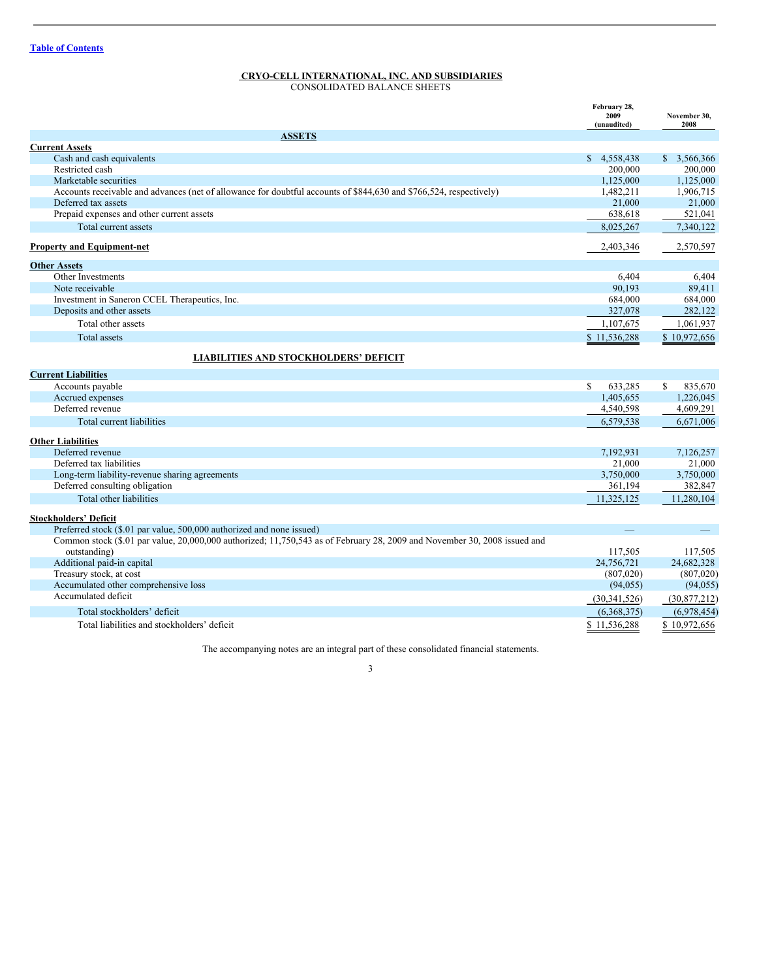<span id="page-2-0"></span>CONSOLIDATED BALANCE SHEETS

|                                                                                                                           | February 28,<br>2009<br>(unaudited) | November 30,<br>2008 |
|---------------------------------------------------------------------------------------------------------------------------|-------------------------------------|----------------------|
| <b>ASSETS</b>                                                                                                             |                                     |                      |
| <b>Current Assets</b>                                                                                                     |                                     |                      |
| Cash and cash equivalents                                                                                                 | \$4,558,438                         | \$3,566,366          |
| Restricted cash                                                                                                           | 200,000                             | 200,000              |
| Marketable securities                                                                                                     | 1,125,000                           | 1,125,000            |
| Accounts receivable and advances (net of allowance for doubtful accounts of \$844,630 and \$766,524, respectively)        | 1,482,211                           | 1,906,715            |
| Deferred tax assets                                                                                                       | 21,000                              | 21,000               |
| Prepaid expenses and other current assets                                                                                 | 638,618                             | 521,041              |
| Total current assets                                                                                                      | 8,025,267                           | 7,340,122            |
| <b>Property and Equipment-net</b>                                                                                         | 2,403,346                           | 2,570,597            |
| <b>Other Assets</b>                                                                                                       |                                     |                      |
| Other Investments                                                                                                         | 6,404                               | 6,404                |
| Note receivable                                                                                                           | 90.193                              | 89,411               |
| Investment in Saneron CCEL Therapeutics, Inc.                                                                             | 684,000                             | 684,000              |
| Deposits and other assets                                                                                                 | 327,078                             | 282,122              |
| Total other assets                                                                                                        | 1,107,675                           | 1,061,937            |
| <b>Total assets</b>                                                                                                       | \$11,536,288                        | \$10,972,656         |
| <b>LIABILITIES AND STOCKHOLDERS' DEFICIT</b>                                                                              |                                     |                      |
| <b>Current Liabilities</b>                                                                                                |                                     |                      |
| Accounts payable                                                                                                          | S.<br>633,285                       | \$<br>835,670        |
| Accrued expenses                                                                                                          | 1,405,655                           | 1,226,045            |
| Deferred revenue                                                                                                          | 4,540,598                           | 4,609,291            |
| Total current liabilities                                                                                                 | 6,579,538                           | 6,671,006            |
| <b>Other Liabilities</b>                                                                                                  |                                     |                      |
| Deferred revenue                                                                                                          | 7,192,931                           | 7,126,257            |
| Deferred tax liabilities                                                                                                  | 21,000                              | 21,000               |
| Long-term liability-revenue sharing agreements                                                                            | 3,750,000                           | 3,750,000            |
| Deferred consulting obligation                                                                                            | 361,194                             | 382,847              |
| Total other liabilities                                                                                                   | 11,325,125                          | 11,280,104           |
| <b>Stockholders' Deficit</b>                                                                                              |                                     |                      |
| Preferred stock (\$.01 par value, 500,000 authorized and none issued)                                                     |                                     |                      |
| Common stock (\$.01 par value, 20,000,000 authorized; 11,750,543 as of February 28, 2009 and November 30, 2008 issued and |                                     |                      |
| outstanding)                                                                                                              | 117,505                             | 117,505              |
| Additional paid-in capital                                                                                                | 24,756,721                          | 24,682,328           |
| Treasury stock, at cost                                                                                                   | (807,020)                           | (807, 020)           |
| Accumulated other comprehensive loss                                                                                      | (94, 055)                           | (94, 055)            |
| Accumulated deficit                                                                                                       | (30, 341, 526)                      | (30,877,212)         |
| Total stockholders' deficit                                                                                               | (6,368,375)                         | (6,978,454)          |
| Total liabilities and stockholders' deficit                                                                               | \$11,536,288                        | \$10,972,656         |

The accompanying notes are an integral part of these consolidated financial statements.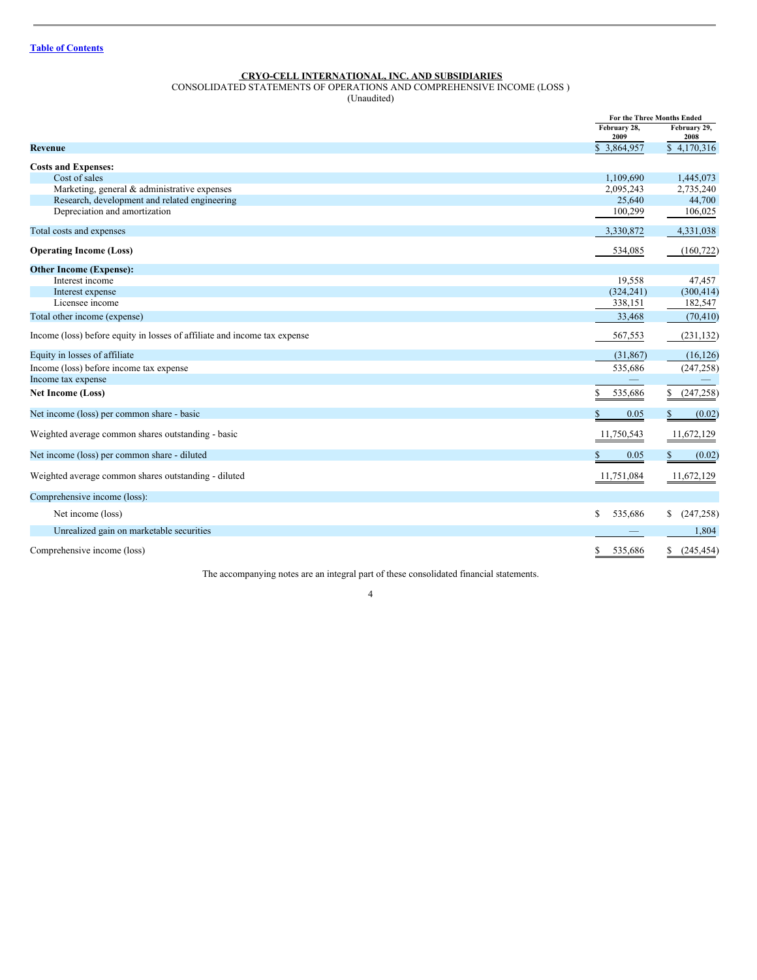<span id="page-3-0"></span>CONSOLIDATED STATEMENTS OF OPERATIONS AND COMPREHENSIVE INCOME (LOSS )

(Unaudited)

|                                                                           |                      | For the Three Months Ended |
|---------------------------------------------------------------------------|----------------------|----------------------------|
|                                                                           | February 28,<br>2009 | February 29,<br>2008       |
| Revenue                                                                   | \$3,864,957          | \$4,170,316                |
| <b>Costs and Expenses:</b>                                                |                      |                            |
| Cost of sales                                                             | 1,109,690            | 1,445,073                  |
| Marketing, general & administrative expenses                              | 2,095,243            | 2,735,240                  |
| Research, development and related engineering                             | 25,640               | 44,700                     |
| Depreciation and amortization                                             | 100,299              | 106,025                    |
| Total costs and expenses                                                  | 3,330,872            | 4,331,038                  |
| <b>Operating Income (Loss)</b>                                            | 534,085              | (160, 722)                 |
| <b>Other Income (Expense):</b>                                            |                      |                            |
| Interest income                                                           | 19,558               | 47,457                     |
| Interest expense                                                          | (324, 241)           | (300, 414)                 |
| Licensee income                                                           | 338,151              | 182,547                    |
| Total other income (expense)                                              | 33,468               | (70, 410)                  |
| Income (loss) before equity in losses of affiliate and income tax expense | 567,553              | (231, 132)                 |
| Equity in losses of affiliate                                             | (31, 867)            | (16, 126)                  |
| Income (loss) before income tax expense                                   | 535,686              | (247, 258)                 |
| Income tax expense                                                        |                      |                            |
| <b>Net Income (Loss)</b>                                                  | \$<br>535,686        | (247, 258)<br>S.           |
| Net income (loss) per common share - basic                                | \$.<br>0.05          | S.<br>(0.02)               |
| Weighted average common shares outstanding - basic                        | 11,750,543           | 11,672,129                 |
| Net income (loss) per common share - diluted                              | \$<br>0.05           | (0.02)                     |
| Weighted average common shares outstanding - diluted                      | 11,751,084           | 11,672,129                 |
| Comprehensive income (loss):                                              |                      |                            |
| Net income (loss)                                                         | \$<br>535,686        | (247, 258)<br>\$           |
| Unrealized gain on marketable securities                                  |                      | 1,804                      |
| Comprehensive income (loss)                                               | S<br>535,686         | (245, 454)<br>S            |

The accompanying notes are an integral part of these consolidated financial statements.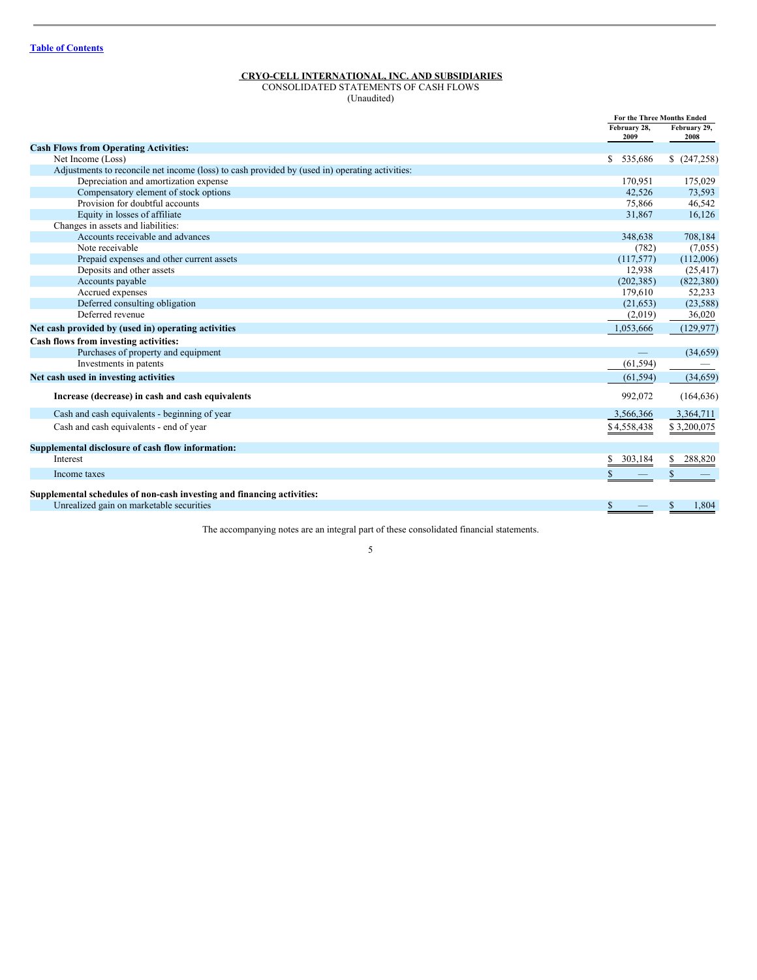<span id="page-4-0"></span>CONSOLIDATED STATEMENTS OF CASH FLOWS (Unaudited)

|                                                                                                | <b>For the Three Months Ended</b> |                      |
|------------------------------------------------------------------------------------------------|-----------------------------------|----------------------|
|                                                                                                | February 28,<br>2009              | February 29,<br>2008 |
| <b>Cash Flows from Operating Activities:</b>                                                   |                                   |                      |
| Net Income (Loss)                                                                              | 535,686<br><sup>\$</sup>          | \$ (247,258)         |
| Adjustments to reconcile net income (loss) to cash provided by (used in) operating activities: |                                   |                      |
| Depreciation and amortization expense                                                          | 170.951                           | 175,029              |
| Compensatory element of stock options                                                          | 42.526                            | 73,593               |
| Provision for doubtful accounts                                                                | 75,866                            | 46,542               |
| Equity in losses of affiliate                                                                  | 31,867                            | 16,126               |
| Changes in assets and liabilities:                                                             |                                   |                      |
| Accounts receivable and advances                                                               | 348,638                           | 708,184              |
| Note receivable                                                                                | (782)                             | (7,055)              |
| Prepaid expenses and other current assets                                                      | (117, 577)                        | (112,006)            |
| Deposits and other assets                                                                      | 12,938                            | (25, 417)            |
| Accounts payable                                                                               | (202, 385)                        | (822, 380)           |
| Accrued expenses                                                                               | 179,610                           | 52,233               |
| Deferred consulting obligation                                                                 | (21, 653)                         | (23, 588)            |
| Deferred revenue                                                                               | (2,019)                           | 36,020               |
| Net cash provided by (used in) operating activities                                            | 1,053,666                         | (129, 977)           |
| Cash flows from investing activities:                                                          |                                   |                      |
| Purchases of property and equipment                                                            |                                   | (34, 659)            |
| Investments in patents                                                                         | (61, 594)                         |                      |
| Net cash used in investing activities                                                          | (61, 594)                         | (34, 659)            |
| Increase (decrease) in cash and cash equivalents                                               | 992,072                           | (164, 636)           |
| Cash and cash equivalents - beginning of year                                                  | 3,566,366                         | 3,364,711            |
| Cash and cash equivalents - end of year                                                        | \$4,558,438                       | \$3,200,075          |
| Supplemental disclosure of cash flow information:                                              |                                   |                      |
| Interest                                                                                       | 303,184                           | 288,820<br>S         |
| Income taxes                                                                                   |                                   |                      |
| Supplemental schedules of non-cash investing and financing activities:                         |                                   |                      |
| Unrealized gain on marketable securities                                                       |                                   | 1,804<br>S           |

The accompanying notes are an integral part of these consolidated financial statements.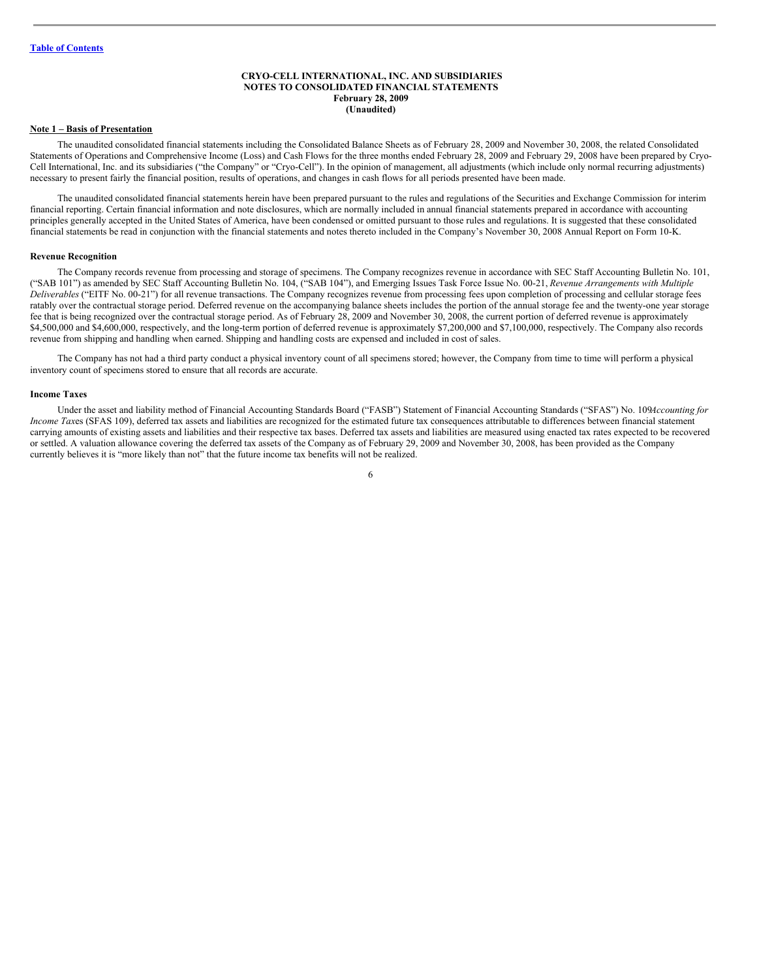#### <span id="page-5-0"></span>**CRYO-CELL INTERNATIONAL, INC. AND SUBSIDIARIES NOTES TO CONSOLIDATED FINANCIAL STATEMENTS February 28, 2009 (Unaudited)**

#### **Note 1 – Basis of Presentation**

The unaudited consolidated financial statements including the Consolidated Balance Sheets as of February 28, 2009 and November 30, 2008, the related Consolidated Statements of Operations and Comprehensive Income (Loss) and Cash Flows for the three months ended February 28, 2009 and February 29, 2008 have been prepared by Cryo-Cell International, Inc. and its subsidiaries ("the Company" or "Cryo-Cell"). In the opinion of management, all adjustments (which include only normal recurring adjustments) necessary to present fairly the financial position, results of operations, and changes in cash flows for all periods presented have been made.

The unaudited consolidated financial statements herein have been prepared pursuant to the rules and regulations of the Securities and Exchange Commission for interim financial reporting. Certain financial information and note disclosures, which are normally included in annual financial statements prepared in accordance with accounting principles generally accepted in the United States of America, have been condensed or omitted pursuant to those rules and regulations. It is suggested that these consolidated financial statements be read in conjunction with the financial statements and notes thereto included in the Company's November 30, 2008 Annual Report on Form 10-K.

#### **Revenue Recognition**

The Company records revenue from processing and storage of specimens. The Company recognizes revenue in accordance with SEC Staff Accounting Bulletin No. 101, ("SAB 101") as amended by SEC Staff Accounting Bulletin No. 104, ("SAB 104"), and Emerging Issues Task Force Issue No. 00-21, *Revenue Arrangements with Multiple Deliverables* ("EITF No. 00-21") for all revenue transactions. The Company recognizes revenue from processing fees upon completion of processing and cellular storage fees ratably over the contractual storage period. Deferred revenue on the accompanying balance sheets includes the portion of the annual storage fee and the twenty-one year storage fee that is being recognized over the contractual storage period. As of February 28, 2009 and November 30, 2008, the current portion of deferred revenue is approximately \$4,500,000 and \$4,600,000, respectively, and the long-term portion of deferred revenue is approximately \$7,200,000 and \$7,100,000, respectively. The Company also records revenue from shipping and handling when earned. Shipping and handling costs are expensed and included in cost of sales.

The Company has not had a third party conduct a physical inventory count of all specimens stored; however, the Company from time to time will perform a physical inventory count of specimens stored to ensure that all records are accurate.

#### **Income Taxes**

Under the asset and liability method of Financial Accounting Standards Board ("FASB") Statement of Financial Accounting Standards ("SFAS") No. 109*Accounting for Income Tax*es (SFAS 109), deferred tax assets and liabilities are recognized for the estimated future tax consequences attributable to differences between financial statement carrying amounts of existing assets and liabilities and their respective tax bases. Deferred tax assets and liabilities are measured using enacted tax rates expected to be recovered or settled. A valuation allowance covering the deferred tax assets of the Company as of February 29, 2009 and November 30, 2008, has been provided as the Company currently believes it is "more likely than not" that the future income tax benefits will not be realized.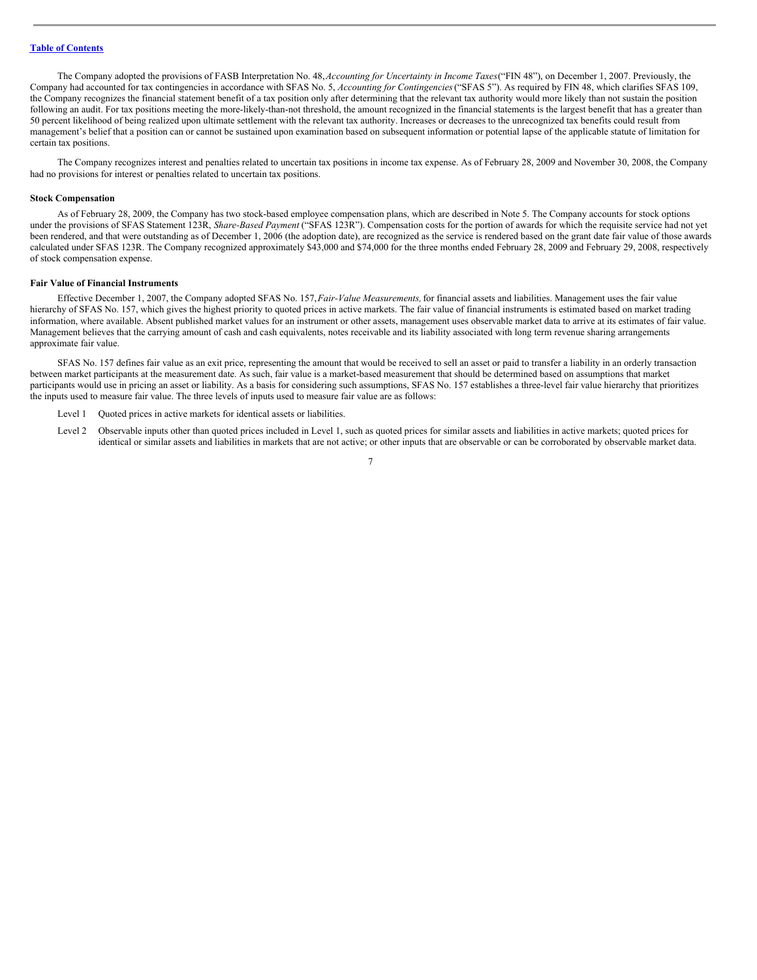The Company adopted the provisions of FASB Interpretation No. 48,*Accounting for Uncertainty in Income Taxes*("FIN 48"), on December 1, 2007. Previously, the Company had accounted for tax contingencies in accordance with SFAS No. 5, *Accounting for Contingencies*("SFAS 5"). As required by FIN 48, which clarifies SFAS 109, the Company recognizes the financial statement benefit of a tax position only after determining that the relevant tax authority would more likely than not sustain the position following an audit. For tax positions meeting the more-likely-than-not threshold, the amount recognized in the financial statements is the largest benefit that has a greater than 50 percent likelihood of being realized upon ultimate settlement with the relevant tax authority. Increases or decreases to the unrecognized tax benefits could result from management's belief that a position can or cannot be sustained upon examination based on subsequent information or potential lapse of the applicable statute of limitation for certain tax positions.

The Company recognizes interest and penalties related to uncertain tax positions in income tax expense. As of February 28, 2009 and November 30, 2008, the Company had no provisions for interest or penalties related to uncertain tax positions.

#### **Stock Compensation**

As of February 28, 2009, the Company has two stock-based employee compensation plans, which are described in Note 5. The Company accounts for stock options under the provisions of SFAS Statement 123R, *Share-Based Payment* ("SFAS 123R"). Compensation costs for the portion of awards for which the requisite service had not yet been rendered, and that were outstanding as of December 1, 2006 (the adoption date), are recognized as the service is rendered based on the grant date fair value of those awards calculated under SFAS 123R. The Company recognized approximately \$43,000 and \$74,000 for the three months ended February 28, 2009 and February 29, 2008, respectively of stock compensation expense.

#### **Fair Value of Financial Instruments**

Effective December 1, 2007, the Company adopted SFAS No. 157,*Fair-Value Measurements,*for financial assets and liabilities. Management uses the fair value hierarchy of SFAS No. 157, which gives the highest priority to quoted prices in active markets. The fair value of financial instruments is estimated based on market trading information, where available. Absent published market values for an instrument or other assets, management uses observable market data to arrive at its estimates of fair value. Management believes that the carrying amount of cash and cash equivalents, notes receivable and its liability associated with long term revenue sharing arrangements approximate fair value.

SFAS No. 157 defines fair value as an exit price, representing the amount that would be received to sell an asset or paid to transfer a liability in an orderly transaction between market participants at the measurement date. As such, fair value is a market-based measurement that should be determined based on assumptions that market participants would use in pricing an asset or liability. As a basis for considering such assumptions, SFAS No. 157 establishes a three-level fair value hierarchy that prioritizes the inputs used to measure fair value. The three levels of inputs used to measure fair value are as follows:

- Level 1 Quoted prices in active markets for identical assets or liabilities.
- Level 2 Observable inputs other than quoted prices included in Level 1, such as quoted prices for similar assets and liabilities in active markets; quoted prices for identical or similar assets and liabilities in markets that are not active; or other inputs that are observable or can be corroborated by observable market data.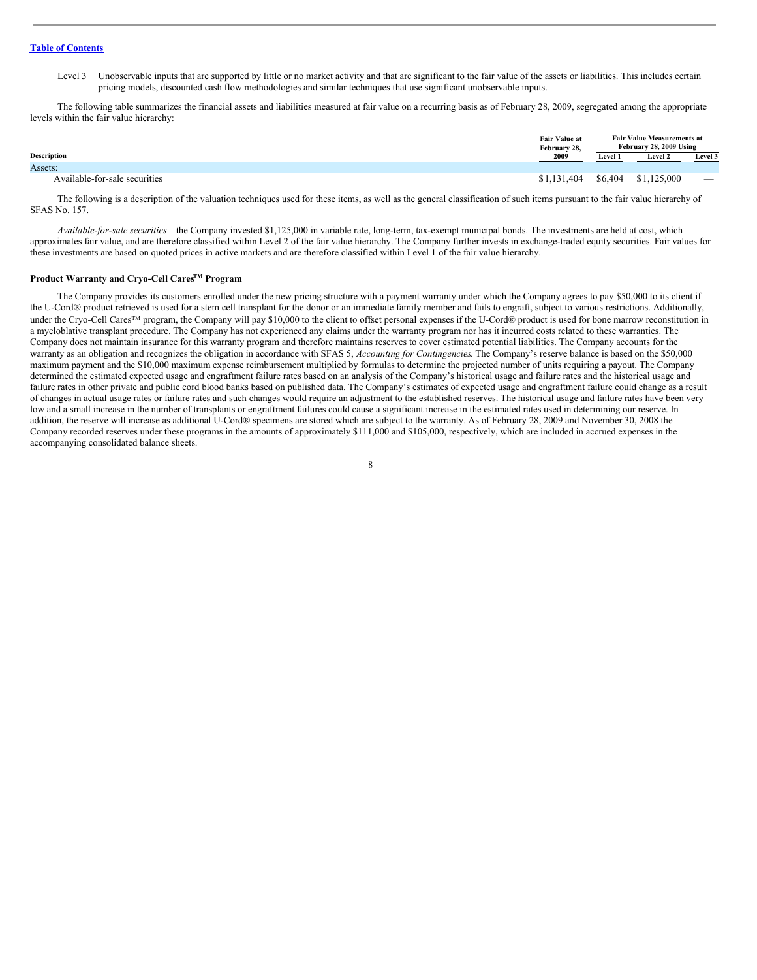Level 3 Unobservable inputs that are supported by little or no market activity and that are significant to the fair value of the assets or liabilities. This includes certain pricing models, discounted cash flow methodologies and similar techniques that use significant unobservable inputs.

The following table summarizes the financial assets and liabilities measured at fair value on a recurring basis as of February 28, 2009, segregated among the appropriate levels within the fair value hierarchy:

|                               | <b>Fair Value at</b><br>February 28, | <b>Fair Value Measurements at</b><br>February 28, 2009 Using |             |         |  |
|-------------------------------|--------------------------------------|--------------------------------------------------------------|-------------|---------|--|
| <b>Description</b>            | 2009                                 | <b>Level 1</b>                                               | Level 2     | Level 3 |  |
| Assets:                       |                                      |                                                              |             |         |  |
| Available-for-sale securities | \$1,131,404                          | \$6,404                                                      | \$1,125,000 | -       |  |

The following is a description of the valuation techniques used for these items, as well as the general classification of such items pursuant to the fair value hierarchy of SFAS No. 157.

*Available-for-sale securities* – the Company invested \$1,125,000 in variable rate, long-term, tax-exempt municipal bonds. The investments are held at cost, which approximates fair value, and are therefore classified within Level 2 of the fair value hierarchy. The Company further invests in exchange-traded equity securities. Fair values for these investments are based on quoted prices in active markets and are therefore classified within Level 1 of the fair value hierarchy.

#### **Product Warranty and Cryo-Cell CaresTM Program**

The Company provides its customers enrolled under the new pricing structure with a payment warranty under which the Company agrees to pay \$50,000 to its client if the U-Cord® product retrieved is used for a stem cell transplant for the donor or an immediate family member and fails to engraft, subject to various restrictions. Additionally, under the Cryo-Cell Cares<sup>TM</sup> program, the Company will pay \$10,000 to the client to offset personal expenses if the U-Cord® product is used for bone marrow reconstitution in a myeloblative transplant procedure. The Company has not experienced any claims under the warranty program nor has it incurred costs related to these warranties. The Company does not maintain insurance for this warranty program and therefore maintains reserves to cover estimated potential liabilities. The Company accounts for the warranty as an obligation and recognizes the obligation in accordance with SFAS 5, *Accounting for Contingencies*. The Company's reserve balance is based on the \$50,000 maximum payment and the \$10,000 maximum expense reimbursement multiplied by formulas to determine the projected number of units requiring a payout. The Company determined the estimated expected usage and engraftment failure rates based on an analysis of the Company's historical usage and failure rates and the historical usage and failure rates in other private and public cord blood banks based on published data. The Company's estimates of expected usage and engraftment failure could change as a result of changes in actual usage rates or failure rates and such changes would require an adjustment to the established reserves. The historical usage and failure rates have been very low and a small increase in the number of transplants or engraftment failures could cause a significant increase in the estimated rates used in determining our reserve. In addition, the reserve will increase as additional U-Cord® specimens are stored which are subject to the warranty. As of February 28, 2009 and November 30, 2008 the Company recorded reserves under these programs in the amounts of approximately \$111,000 and \$105,000, respectively, which are included in accrued expenses in the accompanying consolidated balance sheets.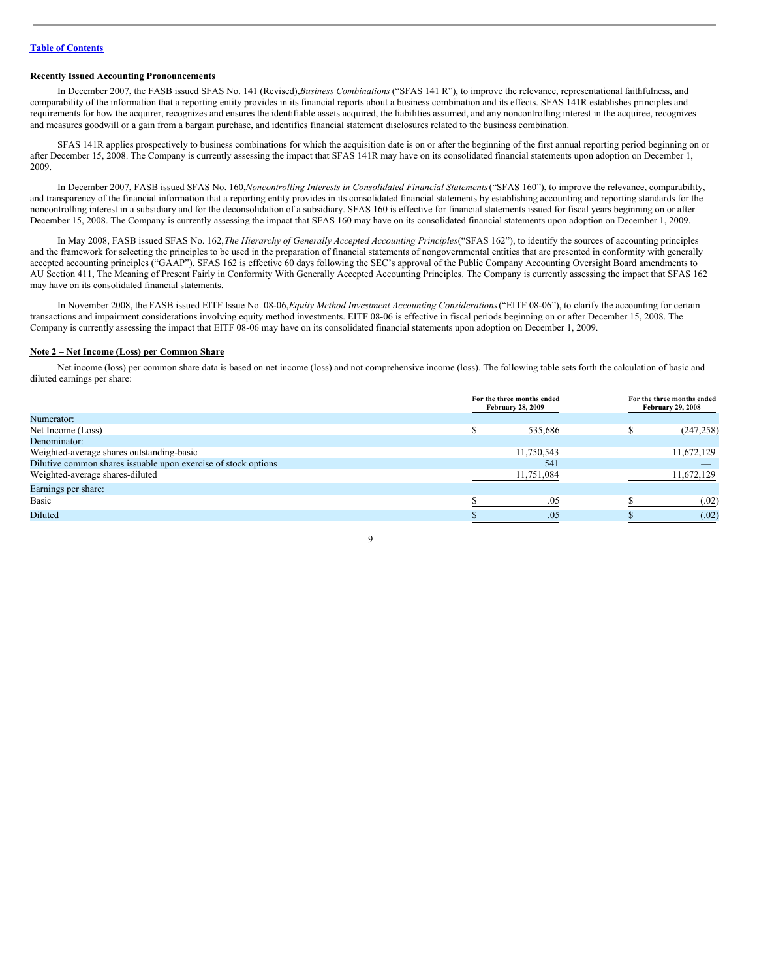#### **Recently Issued Accounting Pronouncements**

In December 2007, the FASB issued SFAS No. 141 (Revised),*Business Combinations* ("SFAS 141 R"), to improve the relevance, representational faithfulness, and comparability of the information that a reporting entity provides in its financial reports about a business combination and its effects. SFAS 141R establishes principles and requirements for how the acquirer, recognizes and ensures the identifiable assets acquired, the liabilities assumed, and any noncontrolling interest in the acquiree, recognizes and measures goodwill or a gain from a bargain purchase, and identifies financial statement disclosures related to the business combination.

SFAS 141R applies prospectively to business combinations for which the acquisition date is on or after the beginning of the first annual reporting period beginning on or after December 15, 2008. The Company is currently assessing the impact that SFAS 141R may have on its consolidated financial statements upon adoption on December 1, 2009.

In December 2007, FASB issued SFAS No. 160,*Noncontrolling Interests in Consolidated Financial Statements*("SFAS 160"), to improve the relevance, comparability, and transparency of the financial information that a reporting entity provides in its consolidated financial statements by establishing accounting and reporting standards for the noncontrolling interest in a subsidiary and for the deconsolidation of a subsidiary. SFAS 160 is effective for financial statements issued for fiscal years beginning on or after December 15, 2008. The Company is currently assessing the impact that SFAS 160 may have on its consolidated financial statements upon adoption on December 1, 2009.

In May 2008, FASB issued SFAS No. 162,*The Hierarchy of Generally Accepted Accounting Principles*("SFAS 162"), to identify the sources of accounting principles and the framework for selecting the principles to be used in the preparation of financial statements of nongovernmental entities that are presented in conformity with generally accepted accounting principles ("GAAP"). SFAS 162 is effective 60 days following the SEC's approval of the Public Company Accounting Oversight Board amendments to AU Section 411, The Meaning of Present Fairly in Conformity With Generally Accepted Accounting Principles. The Company is currently assessing the impact that SFAS 162 may have on its consolidated financial statements.

In November 2008, the FASB issued EITF Issue No. 08-06,*Equity Method Investment Accounting Considerations*("EITF 08-06"), to clarify the accounting for certain transactions and impairment considerations involving equity method investments. EITF 08-06 is effective in fiscal periods beginning on or after December 15, 2008. The Company is currently assessing the impact that EITF 08-06 may have on its consolidated financial statements upon adoption on December 1, 2009.

#### **Note 2 – Net Income (Loss) per Common Share**

Net income (loss) per common share data is based on net income (loss) and not comprehensive income (loss). The following table sets forth the calculation of basic and diluted earnings per share:

|                                                                | For the three months ended<br><b>February 28, 2009</b> | For the three months ended<br><b>February 29, 2008</b> |
|----------------------------------------------------------------|--------------------------------------------------------|--------------------------------------------------------|
| Numerator:                                                     |                                                        |                                                        |
| Net Income (Loss)                                              | 535,686                                                | (247, 258)                                             |
| Denominator:                                                   |                                                        |                                                        |
| Weighted-average shares outstanding-basic                      | 11,750,543                                             | 11,672,129                                             |
| Dilutive common shares issuable upon exercise of stock options | 541                                                    |                                                        |
| Weighted-average shares-diluted                                | 11,751,084                                             | 11.672.129                                             |
| Earnings per share:                                            |                                                        |                                                        |
| Basic                                                          | .05                                                    | (.02)                                                  |
| Diluted                                                        | .05                                                    | (.02)                                                  |

 $\overline{Q}$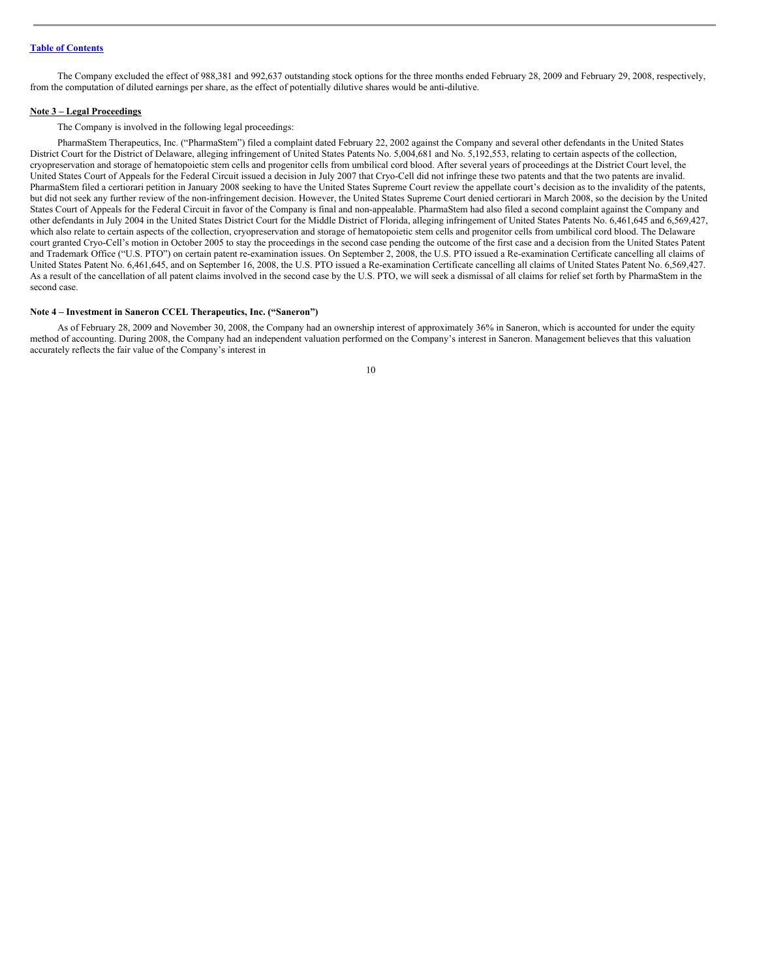The Company excluded the effect of 988,381 and 992,637 outstanding stock options for the three months ended February 28, 2009 and February 29, 2008, respectively, from the computation of diluted earnings per share, as the effect of potentially dilutive shares would be anti-dilutive.

#### **Note 3 – Legal Proceedings**

The Company is involved in the following legal proceedings:

PharmaStem Therapeutics, Inc. ("PharmaStem") filed a complaint dated February 22, 2002 against the Company and several other defendants in the United States District Court for the District of Delaware, alleging infringement of United States Patents No. 5,004,681 and No. 5,192,553, relating to certain aspects of the collection, cryopreservation and storage of hematopoietic stem cells and progenitor cells from umbilical cord blood. After several years of proceedings at the District Court level, the United States Court of Appeals for the Federal Circuit issued a decision in July 2007 that Cryo-Cell did not infringe these two patents and that the two patents are invalid. PharmaStem filed a certiorari petition in January 2008 seeking to have the United States Supreme Court review the appellate court's decision as to the invalidity of the patents, but did not seek any further review of the non-infringement decision. However, the United States Supreme Court denied certiorari in March 2008, so the decision by the United States Court of Appeals for the Federal Circuit in favor of the Company is final and non-appealable. PharmaStem had also filed a second complaint against the Company and other defendants in July 2004 in the United States District Court for the Middle District of Florida, alleging infringement of United States Patents No. 6,461,645 and 6,569,427, which also relate to certain aspects of the collection, cryopreservation and storage of hematopoietic stem cells and progenitor cells from umbilical cord blood. The Delaware court granted Cryo-Cell's motion in October 2005 to stay the proceedings in the second case pending the outcome of the first case and a decision from the United States Patent and Trademark Office ("U.S. PTO") on certain patent re-examination issues. On September 2, 2008, the U.S. PTO issued a Re-examination Certificate cancelling all claims of United States Patent No. 6,461,645, and on September 16, 2008, the U.S. PTO issued a Re-examination Certificate cancelling all claims of United States Patent No. 6,569,427. As a result of the cancellation of all patent claims involved in the second case by the U.S. PTO, we will seek a dismissal of all claims for relief set forth by PharmaStem in the second case.

#### **Note 4 – Investment in Saneron CCEL Therapeutics, Inc. ("Saneron")**

As of February 28, 2009 and November 30, 2008, the Company had an ownership interest of approximately 36% in Saneron, which is accounted for under the equity method of accounting. During 2008, the Company had an independent valuation performed on the Company's interest in Saneron. Management believes that this valuation accurately reflects the fair value of the Company's interest in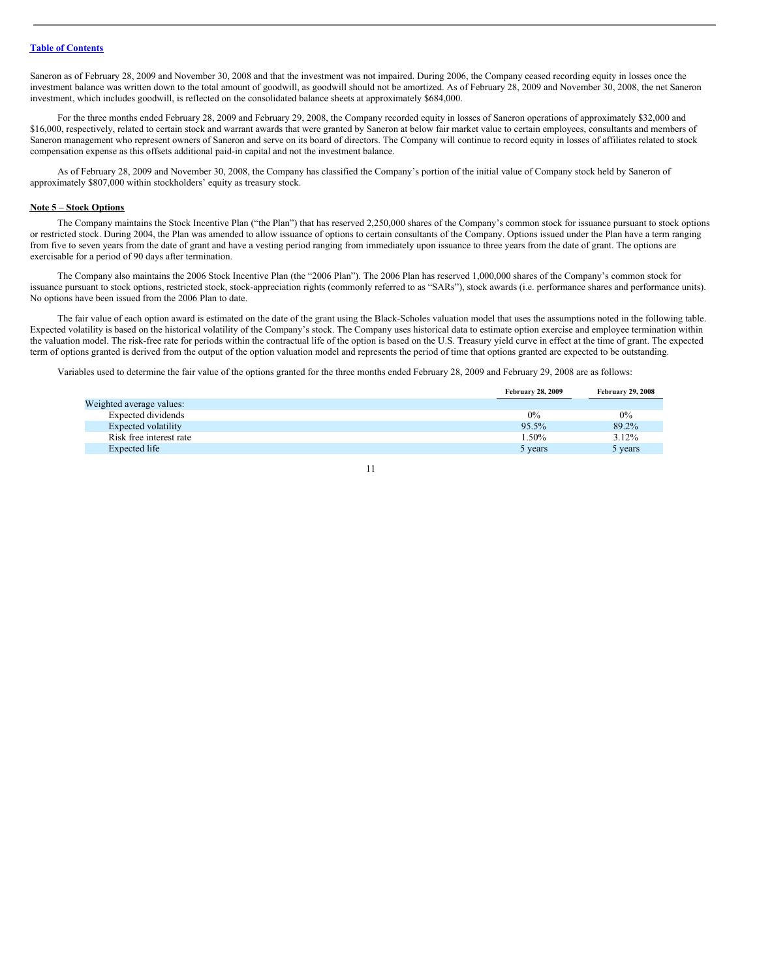Saneron as of February 28, 2009 and November 30, 2008 and that the investment was not impaired. During 2006, the Company ceased recording equity in losses once the investment balance was written down to the total amount of goodwill, as goodwill should not be amortized. As of February 28, 2009 and November 30, 2008, the net Saneron investment, which includes goodwill, is reflected on the consolidated balance sheets at approximately \$684,000.

For the three months ended February 28, 2009 and February 29, 2008, the Company recorded equity in losses of Saneron operations of approximately \$32,000 and \$16,000, respectively, related to certain stock and warrant awards that were granted by Saneron at below fair market value to certain employees, consultants and members of Saneron management who represent owners of Saneron and serve on its board of directors. The Company will continue to record equity in losses of affiliates related to stock compensation expense as this offsets additional paid-in capital and not the investment balance.

As of February 28, 2009 and November 30, 2008, the Company has classified the Company's portion of the initial value of Company stock held by Saneron of approximately \$807,000 within stockholders' equity as treasury stock.

#### **Note 5 – Stock Options**

The Company maintains the Stock Incentive Plan ("the Plan") that has reserved 2,250,000 shares of the Company's common stock for issuance pursuant to stock options or restricted stock. During 2004, the Plan was amended to allow issuance of options to certain consultants of the Company. Options issued under the Plan have a term ranging from five to seven years from the date of grant and have a vesting period ranging from immediately upon issuance to three years from the date of grant. The options are exercisable for a period of 90 days after termination.

The Company also maintains the 2006 Stock Incentive Plan (the "2006 Plan"). The 2006 Plan has reserved 1,000,000 shares of the Company's common stock for issuance pursuant to stock options, restricted stock, stock-appreciation rights (commonly referred to as "SARs"), stock awards (i.e. performance shares and performance units). No options have been issued from the 2006 Plan to date.

The fair value of each option award is estimated on the date of the grant using the Black-Scholes valuation model that uses the assumptions noted in the following table. Expected volatility is based on the historical volatility of the Company's stock. The Company uses historical data to estimate option exercise and employee termination within the valuation model. The risk-free rate for periods within the contractual life of the option is based on the U.S. Treasury yield curve in effect at the time of grant. The expected term of options granted is derived from the output of the option valuation model and represents the period of time that options granted are expected to be outstanding.

Variables used to determine the fair value of the options granted for the three months ended February 28, 2009 and February 29, 2008 are as follows:

|                          | <b>February 28, 2009</b> | <b>February 29, 2008</b> |
|--------------------------|--------------------------|--------------------------|
| Weighted average values: |                          |                          |
| Expected dividends       | $0\%$                    | $0\%$                    |
| Expected volatility      | 95.5%                    | 89.2%                    |
| Risk free interest rate  | 1.50%                    | 3.12%                    |
| Expected life            | 5 years                  | 5 years                  |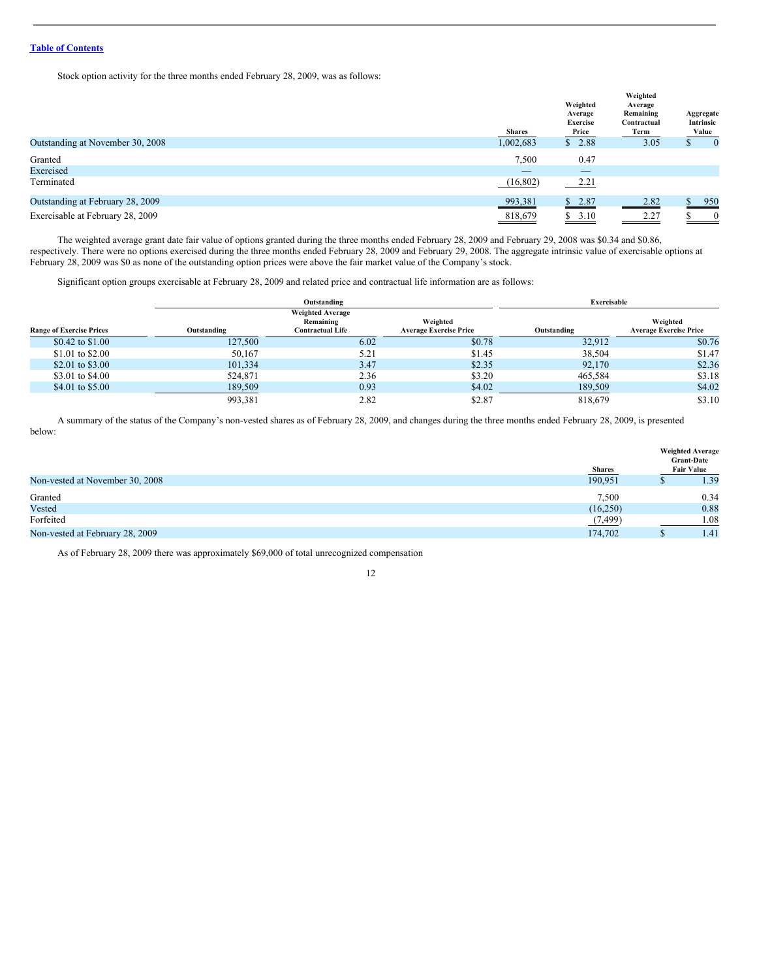Stock option activity for the three months ended February 28, 2009, was as follows:

|                                  | <b>Shares</b> | Weighted<br>Average<br><b>Exercise</b><br>Price | Weighted<br>Average<br>Remaining<br>Contractual<br>Term | Aggregate<br>Intrinsic<br>Value |
|----------------------------------|---------------|-------------------------------------------------|---------------------------------------------------------|---------------------------------|
| Outstanding at November 30, 2008 | 1,002,683     | \$2.88                                          | 3.05                                                    | $\bf{0}$                        |
| Granted                          | 7,500         | 0.47                                            |                                                         |                                 |
| Exercised                        | _             | _                                               |                                                         |                                 |
| Terminated                       | (16, 802)     | 2.21                                            |                                                         |                                 |
| Outstanding at February 28, 2009 | 993,381       | \$2.87                                          | 2.82                                                    | 950                             |
| Exercisable at February 28, 2009 | 818,679       | \$3.10                                          | 2.27                                                    | $\overline{\mathbf{0}}$         |

The weighted average grant date fair value of options granted during the three months ended February 28, 2009 and February 29, 2008 was \$0.34 and \$0.86, respectively. There were no options exercised during the three months ended February 28, 2009 and February 29, 2008. The aggregate intrinsic value of exercisable options at February 28, 2009 was \$0 as none of the outstanding option prices were above the fair market value of the Company's stock.

Significant option groups exercisable at February 28, 2009 and related price and contractual life information are as follows:

|                                 | Outstanding |                                                                 |                                           | Exercisable |                                           |  |
|---------------------------------|-------------|-----------------------------------------------------------------|-------------------------------------------|-------------|-------------------------------------------|--|
| <b>Range of Exercise Prices</b> | Outstanding | <b>Weighted Average</b><br>Remaining<br><b>Contractual Life</b> | Weighted<br><b>Average Exercise Price</b> | Outstanding | Weighted<br><b>Average Exercise Price</b> |  |
| \$0.42 to \$1.00                | 127,500     | 6.02                                                            | \$0.78                                    | 32.912      | \$0.76                                    |  |
| \$1.01 to \$2.00                | 50,167      | 5.21                                                            | \$1.45                                    | 38,504      | \$1.47                                    |  |
| \$2.01 to \$3.00                | 101,334     | 3.47                                                            | \$2.35                                    | 92,170      | \$2.36                                    |  |
| \$3.01 to \$4.00                | 524,871     | 2.36                                                            | \$3.20                                    | 465.584     | \$3.18                                    |  |
| \$4.01 to \$5.00                | 189,509     | 0.93                                                            | \$4.02                                    | 189,509     | \$4.02                                    |  |
|                                 | 993,381     | 2.82                                                            | \$2.87                                    | 818,679     | \$3.10                                    |  |

A summary of the status of the Company's non-vested shares as of February 28, 2009, and changes during the three months ended February 28, 2009, is presented below:

|                                 | <b>Shares</b> | <b>Weighted Average</b><br><b>Grant-Date</b><br><b>Fair Value</b> |
|---------------------------------|---------------|-------------------------------------------------------------------|
| Non-vested at November 30, 2008 | 190,951       | 1.39                                                              |
| Granted                         | 7,500         | 0.34                                                              |
| Vested                          | (16,250)      | 0.88                                                              |
| Forfeited                       | (7,499)       | 1.08                                                              |
| Non-vested at February 28, 2009 | 174,702       | 1.41                                                              |

As of February 28, 2009 there was approximately \$69,000 of total unrecognized compensation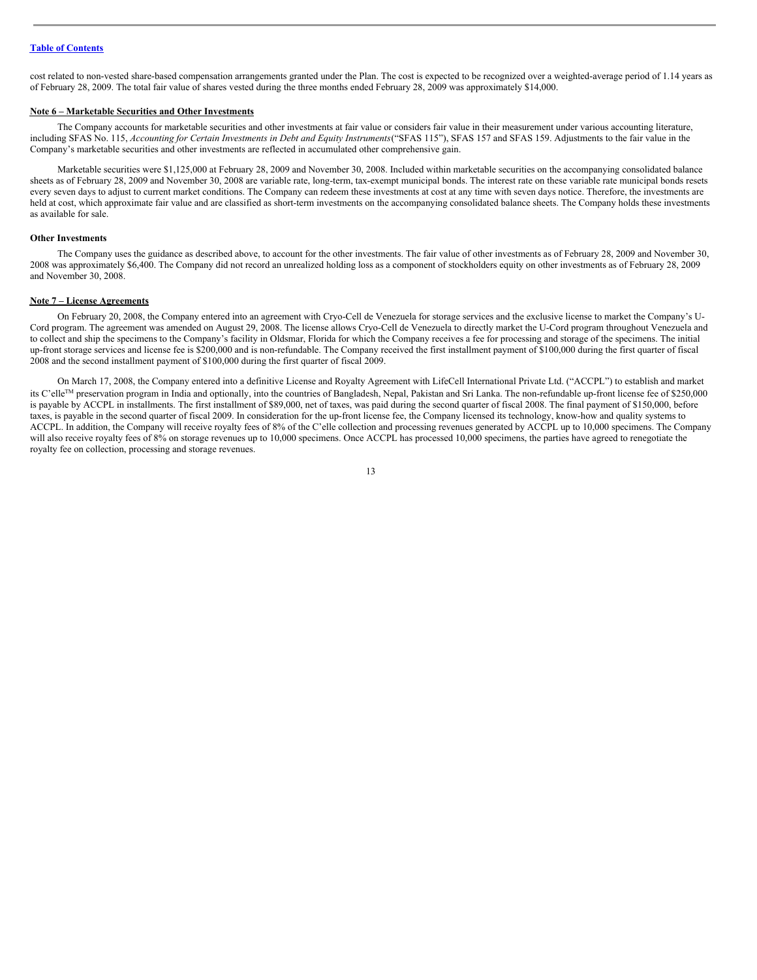cost related to non-vested share-based compensation arrangements granted under the Plan. The cost is expected to be recognized over a weighted-average period of 1.14 years as of February 28, 2009. The total fair value of shares vested during the three months ended February 28, 2009 was approximately \$14,000.

#### **Note 6 – Marketable Securities and Other Investments**

The Company accounts for marketable securities and other investments at fair value or considers fair value in their measurement under various accounting literature, including SFAS No. 115, Accounting for Certain Investments in Debt and Equity Instruments ("SFAS 115"), SFAS 157 and SFAS 159. Adjustments to the fair value in the Company's marketable securities and other investments are reflected in accumulated other comprehensive gain.

Marketable securities were \$1,125,000 at February 28, 2009 and November 30, 2008. Included within marketable securities on the accompanying consolidated balance sheets as of February 28, 2009 and November 30, 2008 are variable rate, long-term, tax-exempt municipal bonds. The interest rate on these variable rate municipal bonds resets every seven days to adjust to current market conditions. The Company can redeem these investments at cost at any time with seven days notice. Therefore, the investments are held at cost, which approximate fair value and are classified as short-term investments on the accompanying consolidated balance sheets. The Company holds these investments as available for sale.

#### **Other Investments**

The Company uses the guidance as described above, to account for the other investments. The fair value of other investments as of February 28, 2009 and November 30, 2008 was approximately \$6,400. The Company did not record an unrealized holding loss as a component of stockholders equity on other investments as of February 28, 2009 and November 30, 2008.

#### **Note 7 – License Agreements**

On February 20, 2008, the Company entered into an agreement with Cryo-Cell de Venezuela for storage services and the exclusive license to market the Company's U-Cord program. The agreement was amended on August 29, 2008. The license allows Cryo-Cell de Venezuela to directly market the U-Cord program throughout Venezuela and to collect and ship the specimens to the Company's facility in Oldsmar, Florida for which the Company receives a fee for processing and storage of the specimens. The initial up-front storage services and license fee is \$200,000 and is non-refundable. The Company received the first installment payment of \$100,000 during the first quarter of fiscal 2008 and the second installment payment of \$100,000 during the first quarter of fiscal 2009.

On March 17, 2008, the Company entered into a definitive License and Royalty Agreement with LifeCell International Private Ltd. ("ACCPL") to establish and market its C'elle<sup>™</sup> preservation program in India and optionally, into the countries of Bangladesh, Nepal, Pakistan and Sri Lanka. The non-refundable up-front license fee of \$250,000 is payable by ACCPL in installments. The first installment of \$89,000, net of taxes, was paid during the second quarter of fiscal 2008. The final payment of \$150,000, before taxes, is payable in the second quarter of fiscal 2009. In consideration for the up-front license fee, the Company licensed its technology, know-how and quality systems to ACCPL. In addition, the Company will receive royalty fees of 8% of the C'elle collection and processing revenues generated by ACCPL up to 10,000 specimens. The Company will also receive royalty fees of 8% on storage revenues up to 10,000 specimens. Once ACCPL has processed 10,000 specimens, the parties have agreed to renegotiate the royalty fee on collection, processing and storage revenues.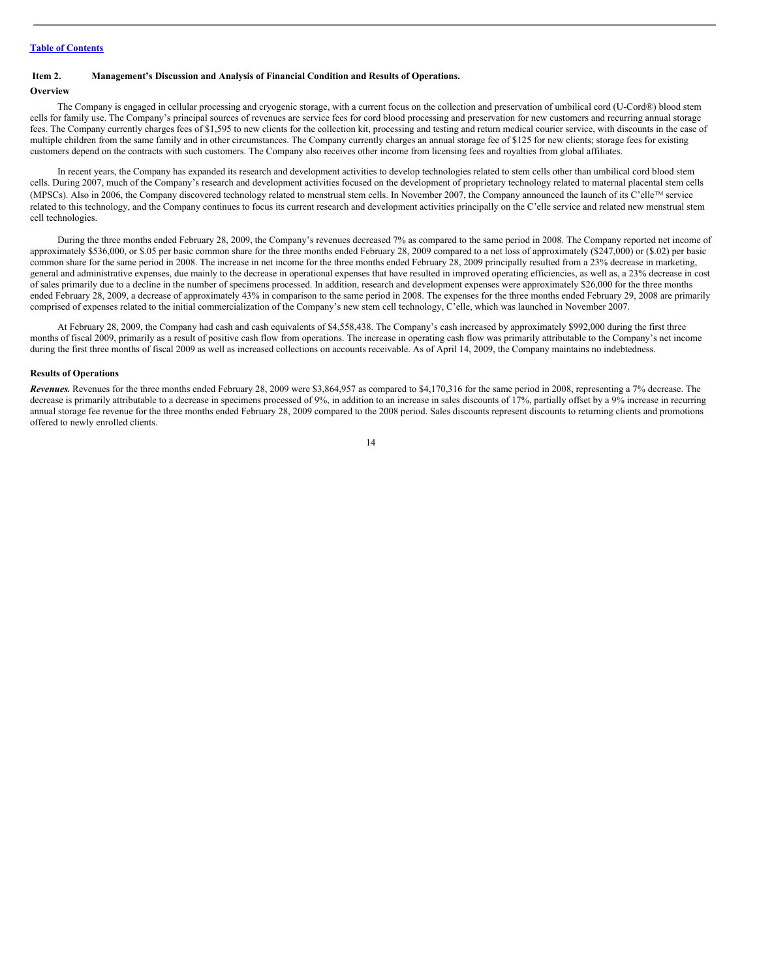#### <span id="page-13-0"></span>**Item 2. Management's Discussion and Analysis of Financial Condition and Results of Operations.**

#### **Overview**

The Company is engaged in cellular processing and cryogenic storage, with a current focus on the collection and preservation of umbilical cord (U-Cord®) blood stem cells for family use. The Company's principal sources of revenues are service fees for cord blood processing and preservation for new customers and recurring annual storage fees. The Company currently charges fees of \$1,595 to new clients for the collection kit, processing and testing and return medical courier service, with discounts in the case of multiple children from the same family and in other circumstances. The Company currently charges an annual storage fee of \$125 for new clients; storage fees for existing customers depend on the contracts with such customers. The Company also receives other income from licensing fees and royalties from global affiliates.

In recent years, the Company has expanded its research and development activities to develop technologies related to stem cells other than umbilical cord blood stem cells. During 2007, much of the Company's research and development activities focused on the development of proprietary technology related to maternal placental stem cells (MPSCs). Also in 2006, the Company discovered technology related to menstrual stem cells. In November 2007, the Company announced the launch of its C'elle™ service related to this technology, and the Company continues to focus its current research and development activities principally on the C'elle service and related new menstrual stem cell technologies.

During the three months ended February 28, 2009, the Company's revenues decreased 7% as compared to the same period in 2008. The Company reported net income of approximately \$536,000, or \$.05 per basic common share for the three months ended February 28, 2009 compared to a net loss of approximately (\$247,000) or (\$.02) per basic common share for the same period in 2008. The increase in net income for the three months ended February 28, 2009 principally resulted from a 23% decrease in marketing, general and administrative expenses, due mainly to the decrease in operational expenses that have resulted in improved operating efficiencies, as well as, a 23% decrease in cost of sales primarily due to a decline in the number of specimens processed. In addition, research and development expenses were approximately \$26,000 for the three months ended February 28, 2009, a decrease of approximately 43% in comparison to the same period in 2008. The expenses for the three months ended February 29, 2008 are primarily comprised of expenses related to the initial commercialization of the Company's new stem cell technology, C'elle, which was launched in November 2007.

At February 28, 2009, the Company had cash and cash equivalents of \$4,558,438. The Company's cash increased by approximately \$992,000 during the first three months of fiscal 2009, primarily as a result of positive cash flow from operations. The increase in operating cash flow was primarily attributable to the Company's net income during the first three months of fiscal 2009 as well as increased collections on accounts receivable. As of April 14, 2009, the Company maintains no indebtedness.

#### **Results of Operations**

*Revenues.* Revenues for the three months ended February 28, 2009 were \$3,864,957 as compared to \$4,170,316 for the same period in 2008, representing a 7% decrease. The decrease is primarily attributable to a decrease in specimens processed of 9%, in addition to an increase in sales discounts of 17%, partially offset by a 9% increase in recurring annual storage fee revenue for the three months ended February 28, 2009 compared to the 2008 period. Sales discounts represent discounts to returning clients and promotions offered to newly enrolled clients.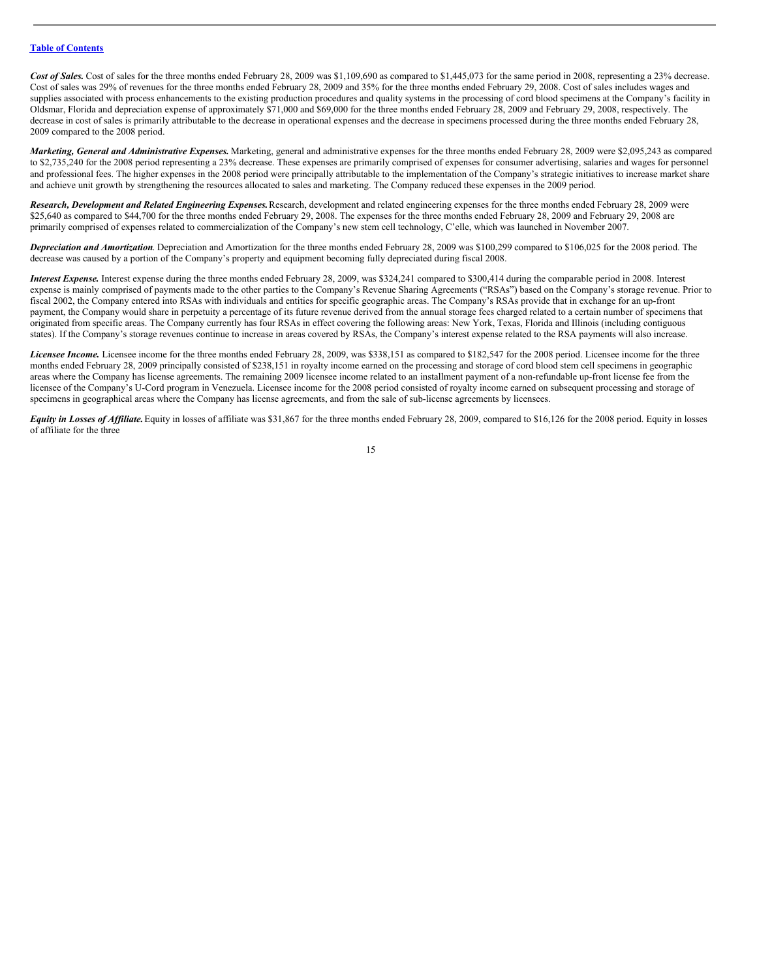Cost of Sales. Cost of sales for the three months ended February 28, 2009 was \$1,109,690 as compared to \$1,445,073 for the same period in 2008, representing a 23% decrease. Cost of sales was 29% of revenues for the three months ended February 28, 2009 and 35% for the three months ended February 29, 2008. Cost of sales includes wages and supplies associated with process enhancements to the existing production procedures and quality systems in the processing of cord blood specimens at the Company's facility in Oldsmar, Florida and depreciation expense of approximately \$71,000 and \$69,000 for the three months ended February 28, 2009 and February 29, 2008, respectively. The decrease in cost of sales is primarily attributable to the decrease in operational expenses and the decrease in specimens processed during the three months ended February 28, 2009 compared to the 2008 period.

*Marketing, General and Administrative Expenses.* Marketing, general and administrative expenses for the three months ended February 28, 2009 were \$2,095,243 as compared to \$2,735,240 for the 2008 period representing a 23% decrease. These expenses are primarily comprised of expenses for consumer advertising, salaries and wages for personnel and professional fees. The higher expenses in the 2008 period were principally attributable to the implementation of the Company's strategic initiatives to increase market share and achieve unit growth by strengthening the resources allocated to sales and marketing. The Company reduced these expenses in the 2009 period.

*Research, Development and Related Engineering Expenses.*Research, development and related engineering expenses for the three months ended February 28, 2009 were \$25,640 as compared to \$44,700 for the three months ended February 29, 2008. The expenses for the three months ended February 28, 2009 and February 29, 2008 are primarily comprised of expenses related to commercialization of the Company's new stem cell technology, C'elle, which was launched in November 2007.

*Depreciation and Amortization*. Depreciation and Amortization for the three months ended February 28, 2009 was \$100,299 compared to \$106,025 for the 2008 period. The decrease was caused by a portion of the Company's property and equipment becoming fully depreciated during fiscal 2008.

*Interest Expense.* Interest expense during the three months ended February 28, 2009, was \$324,241 compared to \$300,414 during the comparable period in 2008. Interest expense is mainly comprised of payments made to the other parties to the Company's Revenue Sharing Agreements ("RSAs") based on the Company's storage revenue. Prior to fiscal 2002, the Company entered into RSAs with individuals and entities for specific geographic areas. The Company's RSAs provide that in exchange for an up-front payment, the Company would share in perpetuity a percentage of its future revenue derived from the annual storage fees charged related to a certain number of specimens that originated from specific areas. The Company currently has four RSAs in effect covering the following areas: New York, Texas, Florida and Illinois (including contiguous states). If the Company's storage revenues continue to increase in areas covered by RSAs, the Company's interest expense related to the RSA payments will also increase.

*Licensee Income.* Licensee income for the three months ended February 28, 2009, was \$338,151 as compared to \$182,547 for the 2008 period. Licensee income for the three months ended February 28, 2009 principally consisted of \$238,151 in royalty income earned on the processing and storage of cord blood stem cell specimens in geographic areas where the Company has license agreements. The remaining 2009 licensee income related to an installment payment of a non-refundable up-front license fee from the licensee of the Company's U-Cord program in Venezuela. Licensee income for the 2008 period consisted of royalty income earned on subsequent processing and storage of specimens in geographical areas where the Company has license agreements, and from the sale of sub-license agreements by licensees.

*Equity in Losses of Af iliate.*Equity in losses of affiliate was \$31,867 for the three months ended February 28, 2009, compared to \$16,126 for the 2008 period. Equity in losses of affiliate for the three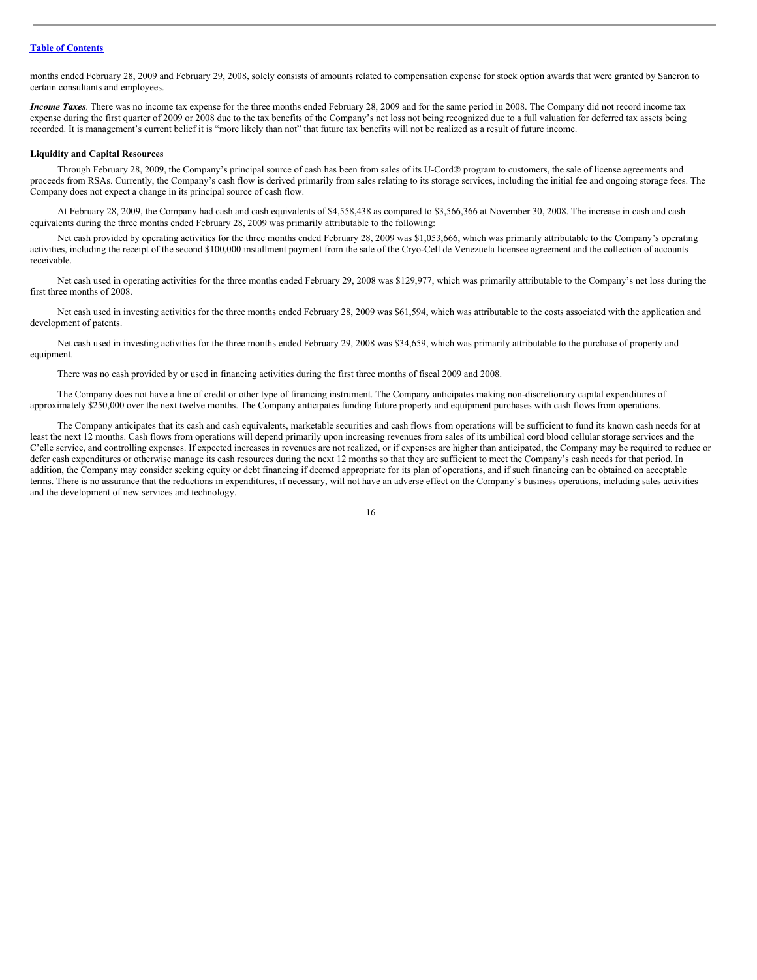months ended February 28, 2009 and February 29, 2008, solely consists of amounts related to compensation expense for stock option awards that were granted by Saneron to certain consultants and employees.

*Income Taxes*. There was no income tax expense for the three months ended February 28, 2009 and for the same period in 2008. The Company did not record income tax expense during the first quarter of 2009 or 2008 due to the tax benefits of the Company's net loss not being recognized due to a full valuation for deferred tax assets being recorded. It is management's current belief it is "more likely than not" that future tax benefits will not be realized as a result of future income.

#### **Liquidity and Capital Resources**

Through February 28, 2009, the Company's principal source of cash has been from sales of its U-Cord® program to customers, the sale of license agreements and proceeds from RSAs. Currently, the Company's cash flow is derived primarily from sales relating to its storage services, including the initial fee and ongoing storage fees. The Company does not expect a change in its principal source of cash flow.

At February 28, 2009, the Company had cash and cash equivalents of \$4,558,438 as compared to \$3,566,366 at November 30, 2008. The increase in cash and cash equivalents during the three months ended February 28, 2009 was primarily attributable to the following:

Net cash provided by operating activities for the three months ended February 28, 2009 was \$1,053,666, which was primarily attributable to the Company's operating activities, including the receipt of the second \$100,000 installment payment from the sale of the Cryo-Cell de Venezuela licensee agreement and the collection of accounts receivable.

Net cash used in operating activities for the three months ended February 29, 2008 was \$129,977, which was primarily attributable to the Company's net loss during the first three months of 2008.

Net cash used in investing activities for the three months ended February 28, 2009 was \$61,594, which was attributable to the costs associated with the application and development of patents.

Net cash used in investing activities for the three months ended February 29, 2008 was \$34,659, which was primarily attributable to the purchase of property and equipment.

There was no cash provided by or used in financing activities during the first three months of fiscal 2009 and 2008.

The Company does not have a line of credit or other type of financing instrument. The Company anticipates making non-discretionary capital expenditures of approximately \$250,000 over the next twelve months. The Company anticipates funding future property and equipment purchases with cash flows from operations.

The Company anticipates that its cash and cash equivalents, marketable securities and cash flows from operations will be sufficient to fund its known cash needs for at least the next 12 months. Cash flows from operations will depend primarily upon increasing revenues from sales of its umbilical cord blood cellular storage services and the C'elle service, and controlling expenses. If expected increases in revenues are not realized, or if expenses are higher than anticipated, the Company may be required to reduce or defer cash expenditures or otherwise manage its cash resources during the next 12 months so that they are sufficient to meet the Company's cash needs for that period. In addition, the Company may consider seeking equity or debt financing if deemed appropriate for its plan of operations, and if such financing can be obtained on acceptable terms. There is no assurance that the reductions in expenditures, if necessary, will not have an adverse effect on the Company's business operations, including sales activities and the development of new services and technology.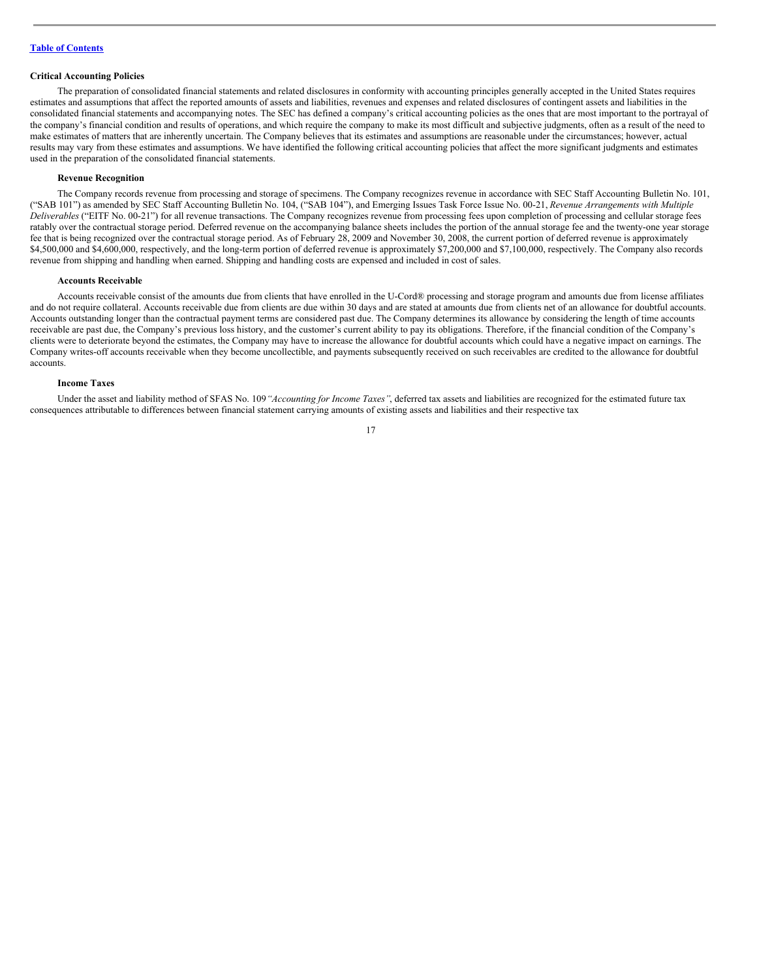#### **Critical Accounting Policies**

The preparation of consolidated financial statements and related disclosures in conformity with accounting principles generally accepted in the United States requires estimates and assumptions that affect the reported amounts of assets and liabilities, revenues and expenses and related disclosures of contingent assets and liabilities in the consolidated financial statements and accompanying notes. The SEC has defined a company's critical accounting policies as the ones that are most important to the portrayal of the company's financial condition and results of operations, and which require the company to make its most difficult and subjective judgments, often as a result of the need to make estimates of matters that are inherently uncertain. The Company believes that its estimates and assumptions are reasonable under the circumstances; however, actual results may vary from these estimates and assumptions. We have identified the following critical accounting policies that affect the more significant judgments and estimates used in the preparation of the consolidated financial statements.

#### **Revenue Recognition**

The Company records revenue from processing and storage of specimens. The Company recognizes revenue in accordance with SEC Staff Accounting Bulletin No. 101, ("SAB 101") as amended by SEC Staff Accounting Bulletin No. 104, ("SAB 104"), and Emerging Issues Task Force Issue No. 00-21, *Revenue Arrangements with Multiple Deliverables* ("EITF No. 00-21") for all revenue transactions. The Company recognizes revenue from processing fees upon completion of processing and cellular storage fees ratably over the contractual storage period. Deferred revenue on the accompanying balance sheets includes the portion of the annual storage fee and the twenty-one year storage fee that is being recognized over the contractual storage period. As of February 28, 2009 and November 30, 2008, the current portion of deferred revenue is approximately \$4,500,000 and \$4,600,000, respectively, and the long-term portion of deferred revenue is approximately \$7,200,000 and \$7,100,000, respectively. The Company also records revenue from shipping and handling when earned. Shipping and handling costs are expensed and included in cost of sales.

#### **Accounts Receivable**

Accounts receivable consist of the amounts due from clients that have enrolled in the U-Cord® processing and storage program and amounts due from license affiliates and do not require collateral. Accounts receivable due from clients are due within 30 days and are stated at amounts due from clients net of an allowance for doubtful accounts. Accounts outstanding longer than the contractual payment terms are considered past due. The Company determines its allowance by considering the length of time accounts receivable are past due, the Company's previous loss history, and the customer's current ability to pay its obligations. Therefore, if the financial condition of the Company's clients were to deteriorate beyond the estimates, the Company may have to increase the allowance for doubtful accounts which could have a negative impact on earnings. The Company writes-off accounts receivable when they become uncollectible, and payments subsequently received on such receivables are credited to the allowance for doubtful accounts.

#### **Income Taxes**

Under the asset and liability method of SFAS No. 109*"Accounting for Income Taxes"*, deferred tax assets and liabilities are recognized for the estimated future tax consequences attributable to differences between financial statement carrying amounts of existing assets and liabilities and their respective tax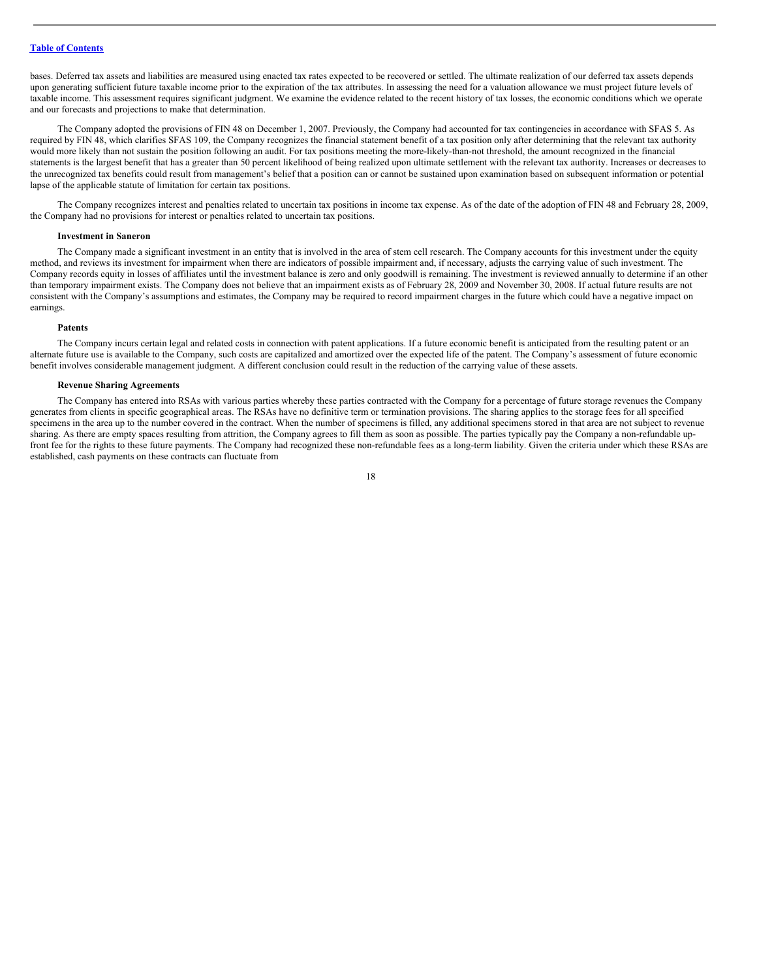bases. Deferred tax assets and liabilities are measured using enacted tax rates expected to be recovered or settled. The ultimate realization of our deferred tax assets depends upon generating sufficient future taxable income prior to the expiration of the tax attributes. In assessing the need for a valuation allowance we must project future levels of taxable income. This assessment requires significant judgment. We examine the evidence related to the recent history of tax losses, the economic conditions which we operate and our forecasts and projections to make that determination.

The Company adopted the provisions of FIN 48 on December 1, 2007. Previously, the Company had accounted for tax contingencies in accordance with SFAS 5. As required by FIN 48, which clarifies SFAS 109, the Company recognizes the financial statement benefit of a tax position only after determining that the relevant tax authority would more likely than not sustain the position following an audit. For tax positions meeting the more-likely-than-not threshold, the amount recognized in the financial statements is the largest benefit that has a greater than 50 percent likelihood of being realized upon ultimate settlement with the relevant tax authority. Increases or decreases to the unrecognized tax benefits could result from management's belief that a position can or cannot be sustained upon examination based on subsequent information or potential lapse of the applicable statute of limitation for certain tax positions.

The Company recognizes interest and penalties related to uncertain tax positions in income tax expense. As of the date of the adoption of FIN 48 and February 28, 2009, the Company had no provisions for interest or penalties related to uncertain tax positions.

#### **Investment in Saneron**

The Company made a significant investment in an entity that is involved in the area of stem cell research. The Company accounts for this investment under the equity method, and reviews its investment for impairment when there are indicators of possible impairment and, if necessary, adjusts the carrying value of such investment. The Company records equity in losses of affiliates until the investment balance is zero and only goodwill is remaining. The investment is reviewed annually to determine if an other than temporary impairment exists. The Company does not believe that an impairment exists as of February 28, 2009 and November 30, 2008. If actual future results are not consistent with the Company's assumptions and estimates, the Company may be required to record impairment charges in the future which could have a negative impact on earnings.

#### **Patents**

The Company incurs certain legal and related costs in connection with patent applications. If a future economic benefit is anticipated from the resulting patent or an alternate future use is available to the Company, such costs are capitalized and amortized over the expected life of the patent. The Company's assessment of future economic benefit involves considerable management judgment. A different conclusion could result in the reduction of the carrying value of these assets.

#### **Revenue Sharing Agreements**

The Company has entered into RSAs with various parties whereby these parties contracted with the Company for a percentage of future storage revenues the Company generates from clients in specific geographical areas. The RSAs have no definitive term or termination provisions. The sharing applies to the storage fees for all specified specimens in the area up to the number covered in the contract. When the number of specimens is filled, any additional specimens stored in that area are not subject to revenue sharing. As there are empty spaces resulting from attrition, the Company agrees to fill them as soon as possible. The parties typically pay the Company a non-refundable upfront fee for the rights to these future payments. The Company had recognized these non-refundable fees as a long-term liability. Given the criteria under which these RSAs are established, cash payments on these contracts can fluctuate from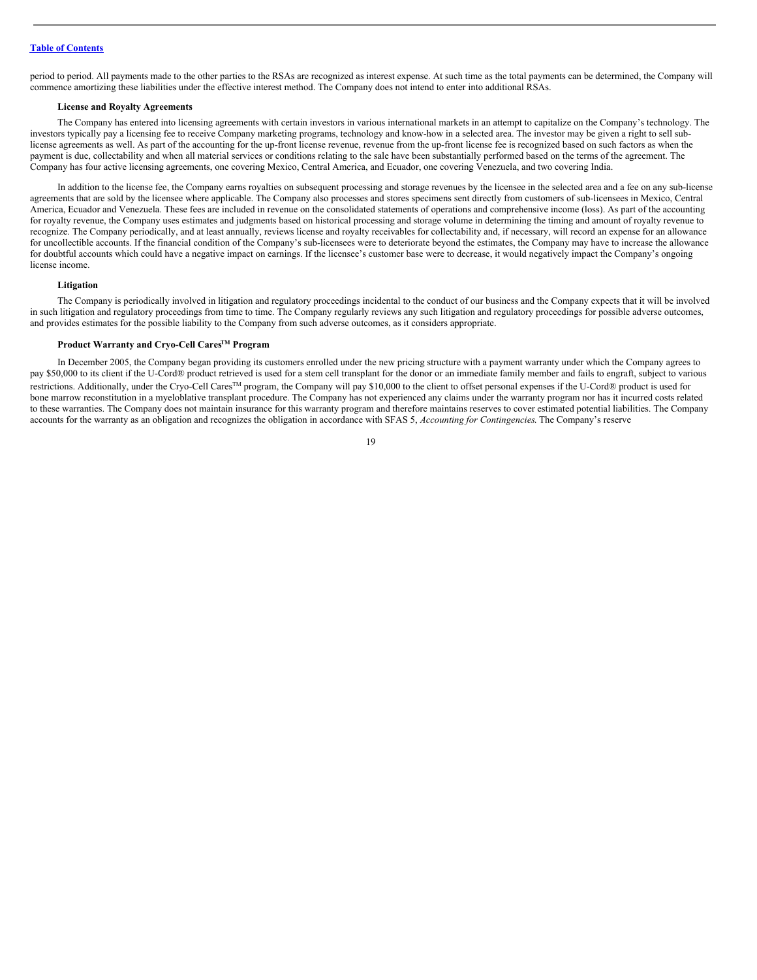period to period. All payments made to the other parties to the RSAs are recognized as interest expense. At such time as the total payments can be determined, the Company will commence amortizing these liabilities under the effective interest method. The Company does not intend to enter into additional RSAs.

#### **License and Royalty Agreements**

The Company has entered into licensing agreements with certain investors in various international markets in an attempt to capitalize on the Company's technology. The investors typically pay a licensing fee to receive Company marketing programs, technology and know-how in a selected area. The investor may be given a right to sell sublicense agreements as well. As part of the accounting for the up-front license revenue, revenue from the up-front license fee is recognized based on such factors as when the payment is due, collectability and when all material services or conditions relating to the sale have been substantially performed based on the terms of the agreement. The Company has four active licensing agreements, one covering Mexico, Central America, and Ecuador, one covering Venezuela, and two covering India.

In addition to the license fee, the Company earns royalties on subsequent processing and storage revenues by the licensee in the selected area and a fee on any sub-license agreements that are sold by the licensee where applicable. The Company also processes and stores specimens sent directly from customers of sub-licensees in Mexico, Central America, Ecuador and Venezuela. These fees are included in revenue on the consolidated statements of operations and comprehensive income (loss). As part of the accounting for royalty revenue, the Company uses estimates and judgments based on historical processing and storage volume in determining the timing and amount of royalty revenue to recognize. The Company periodically, and at least annually, reviews license and royalty receivables for collectability and, if necessary, will record an expense for an allowance for uncollectible accounts. If the financial condition of the Company's sub-licensees were to deteriorate beyond the estimates, the Company may have to increase the allowance for doubtful accounts which could have a negative impact on earnings. If the licensee's customer base were to decrease, it would negatively impact the Company's ongoing license income.

#### **Litigation**

The Company is periodically involved in litigation and regulatory proceedings incidental to the conduct of our business and the Company expects that it will be involved in such litigation and regulatory proceedings from time to time. The Company regularly reviews any such litigation and regulatory proceedings for possible adverse outcomes, and provides estimates for the possible liability to the Company from such adverse outcomes, as it considers appropriate.

#### **Product Warranty and Cryo-Cell CaresTM Program**

In December 2005, the Company began providing its customers enrolled under the new pricing structure with a payment warranty under which the Company agrees to pay \$50,000 to its client if the U-Cord® product retrieved is used for a stem cell transplant for the donor or an immediate family member and fails to engraft, subject to various restrictions. Additionally, under the Cryo-Cell Cares™ program, the Company will pay \$10,000 to the client to offset personal expenses if the U-Cord® product is used for bone marrow reconstitution in a myeloblative transplant procedure. The Company has not experienced any claims under the warranty program nor has it incurred costs related to these warranties. The Company does not maintain insurance for this warranty program and therefore maintains reserves to cover estimated potential liabilities. The Company accounts for the warranty as an obligation and recognizes the obligation in accordance with SFAS 5, *Accounting for Contingencies*. The Company's reserve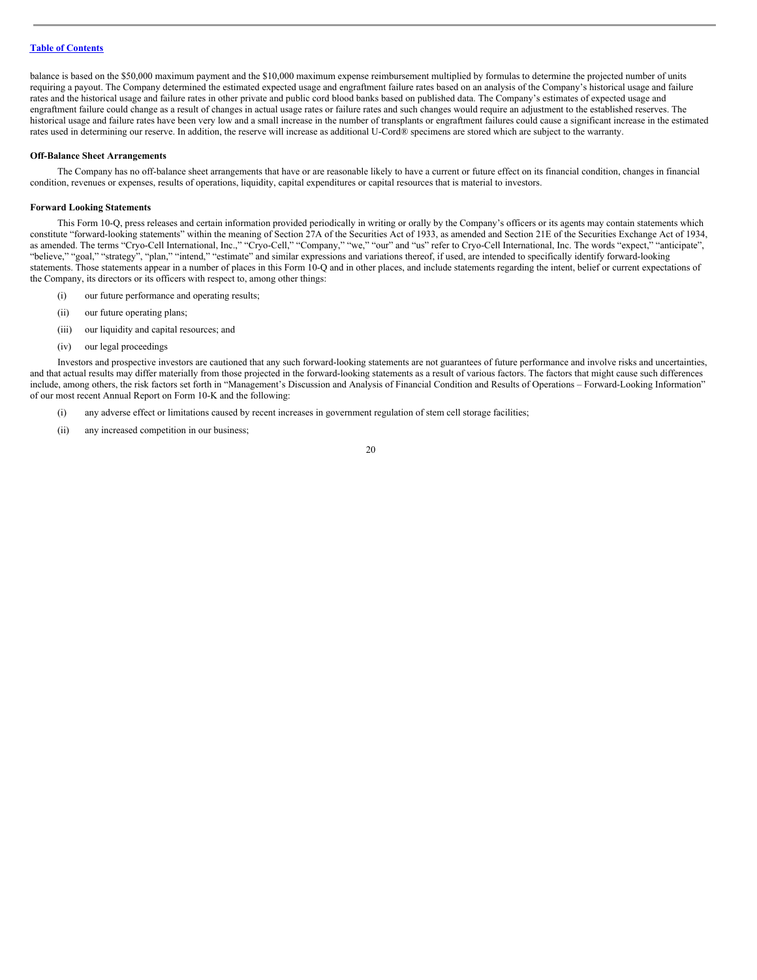balance is based on the \$50,000 maximum payment and the \$10,000 maximum expense reimbursement multiplied by formulas to determine the projected number of units requiring a payout. The Company determined the estimated expected usage and engraftment failure rates based on an analysis of the Company's historical usage and failure rates and the historical usage and failure rates in other private and public cord blood banks based on published data. The Company's estimates of expected usage and engraftment failure could change as a result of changes in actual usage rates or failure rates and such changes would require an adjustment to the established reserves. The historical usage and failure rates have been very low and a small increase in the number of transplants or engraftment failures could cause a significant increase in the estimated rates used in determining our reserve. In addition, the reserve will increase as additional U-Cord® specimens are stored which are subject to the warranty.

#### **Off-Balance Sheet Arrangements**

The Company has no off-balance sheet arrangements that have or are reasonable likely to have a current or future effect on its financial condition, changes in financial condition, revenues or expenses, results of operations, liquidity, capital expenditures or capital resources that is material to investors.

#### **Forward Looking Statements**

This Form 10-Q, press releases and certain information provided periodically in writing or orally by the Company's officers or its agents may contain statements which constitute "forward-looking statements" within the meaning of Section 27A of the Securities Act of 1933, as amended and Section 21E of the Securities Exchange Act of 1934, as amended. The terms "Cryo-Cell International, Inc.," "Cryo-Cell," "Company," "we," "our" and "us" refer to Cryo-Cell International, Inc. The words "expect," "anticipate", "believe," "goal," "strategy", "plan," "intend," "estimate" and similar expressions and variations thereof, if used, are intended to specifically identify forward-looking statements. Those statements appear in a number of places in this Form 10-Q and in other places, and include statements regarding the intent, belief or current expectations of the Company, its directors or its officers with respect to, among other things:

- (i) our future performance and operating results;
- (ii) our future operating plans;
- (iii) our liquidity and capital resources; and
- (iv) our legal proceedings

Investors and prospective investors are cautioned that any such forward-looking statements are not guarantees of future performance and involve risks and uncertainties, and that actual results may differ materially from those projected in the forward-looking statements as a result of various factors. The factors that might cause such differences include, among others, the risk factors set forth in "Management's Discussion and Analysis of Financial Condition and Results of Operations – Forward-Looking Information" of our most recent Annual Report on Form 10-K and the following:

- (i) any adverse effect or limitations caused by recent increases in government regulation of stem cell storage facilities;
- (ii) any increased competition in our business;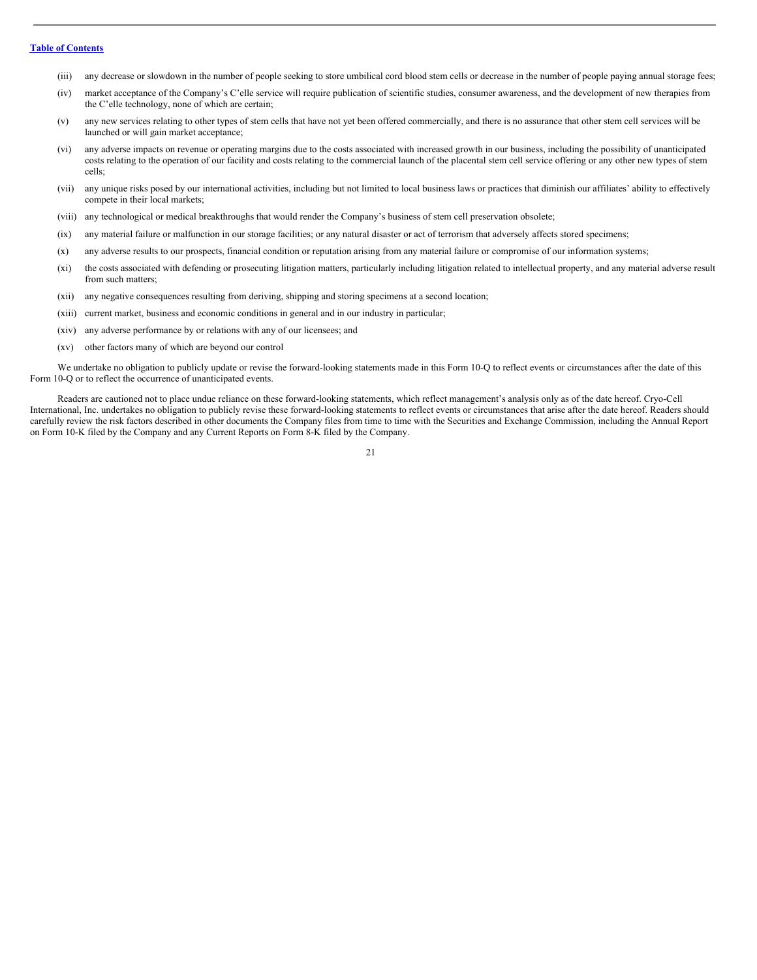- (iii) any decrease or slowdown in the number of people seeking to store umbilical cord blood stem cells or decrease in the number of people paying annual storage fees;
- (iv) market acceptance of the Company's C'elle service will require publication of scientific studies, consumer awareness, and the development of new therapies from the C'elle technology, none of which are certain;
- (v) any new services relating to other types of stem cells that have not yet been offered commercially, and there is no assurance that other stem cell services will be launched or will gain market acceptance;
- (vi) any adverse impacts on revenue or operating margins due to the costs associated with increased growth in our business, including the possibility of unanticipated costs relating to the operation of our facility and costs relating to the commercial launch of the placental stem cell service offering or any other new types of stem cells;
- (vii) any unique risks posed by our international activities, including but not limited to local business laws or practices that diminish our affiliates' ability to effectively compete in their local markets;
- (viii) any technological or medical breakthroughs that would render the Company's business of stem cell preservation obsolete;
- (ix) any material failure or malfunction in our storage facilities; or any natural disaster or act of terrorism that adversely affects stored specimens;
- (x) any adverse results to our prospects, financial condition or reputation arising from any material failure or compromise of our information systems;
- (xi) the costs associated with defending or prosecuting litigation matters, particularly including litigation related to intellectual property, and any material adverse result from such matters:
- (xii) any negative consequences resulting from deriving, shipping and storing specimens at a second location;
- (xiii) current market, business and economic conditions in general and in our industry in particular;
- (xiv) any adverse performance by or relations with any of our licensees; and
- (xv) other factors many of which are beyond our control

We undertake no obligation to publicly update or revise the forward-looking statements made in this Form 10-Q to reflect events or circumstances after the date of this Form 10-Q or to reflect the occurrence of unanticipated events.

Readers are cautioned not to place undue reliance on these forward-looking statements, which reflect management's analysis only as of the date hereof. Cryo-Cell International, Inc. undertakes no obligation to publicly revise these forward-looking statements to reflect events or circumstances that arise after the date hereof. Readers should carefully review the risk factors described in other documents the Company files from time to time with the Securities and Exchange Commission, including the Annual Report on Form 10-K filed by the Company and any Current Reports on Form 8-K filed by the Company.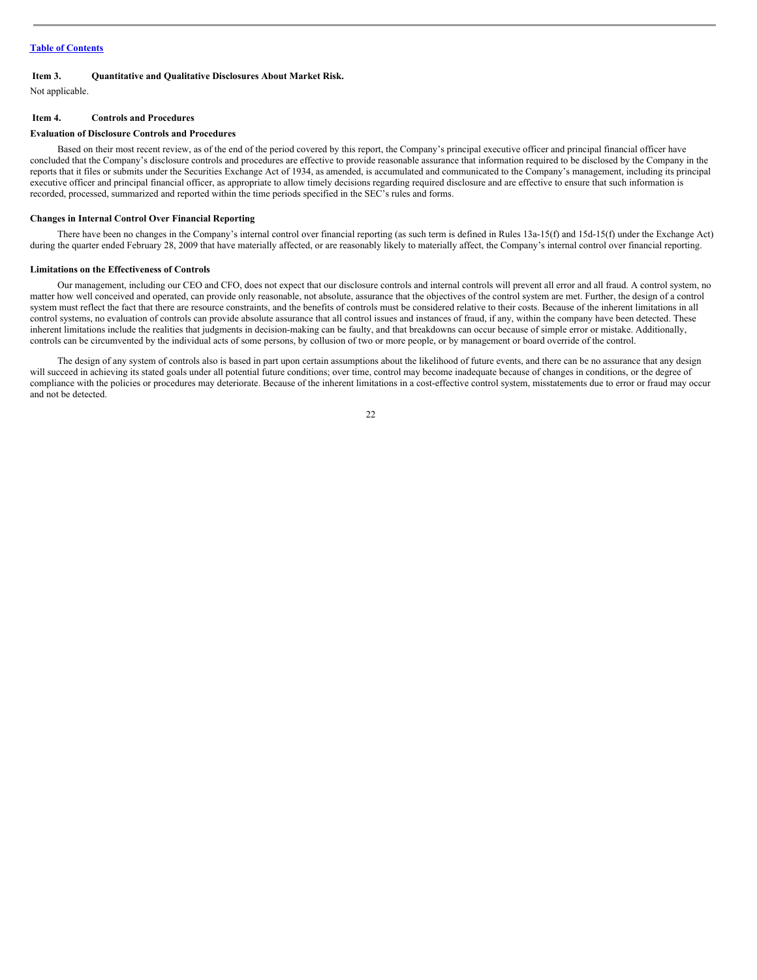#### <span id="page-21-0"></span>**Item 3. Quantitative and Qualitative Disclosures About Market Risk.**

Not applicable.

#### <span id="page-21-1"></span>**Item 4. Controls and Procedures**

#### **Evaluation of Disclosure Controls and Procedures**

Based on their most recent review, as of the end of the period covered by this report, the Company's principal executive officer and principal financial officer have concluded that the Company's disclosure controls and procedures are effective to provide reasonable assurance that information required to be disclosed by the Company in the reports that it files or submits under the Securities Exchange Act of 1934, as amended, is accumulated and communicated to the Company's management, including its principal executive officer and principal financial officer, as appropriate to allow timely decisions regarding required disclosure and are effective to ensure that such information is recorded, processed, summarized and reported within the time periods specified in the SEC's rules and forms.

#### **Changes in Internal Control Over Financial Reporting**

There have been no changes in the Company's internal control over financial reporting (as such term is defined in Rules 13a-15(f) and 15d-15(f) under the Exchange Act) during the quarter ended February 28, 2009 that have materially affected, or are reasonably likely to materially affect, the Company's internal control over financial reporting.

#### **Limitations on the Effectiveness of Controls**

Our management, including our CEO and CFO, does not expect that our disclosure controls and internal controls will prevent all error and all fraud. A control system, no matter how well conceived and operated, can provide only reasonable, not absolute, assurance that the objectives of the control system are met. Further, the design of a control system must reflect the fact that there are resource constraints, and the benefits of controls must be considered relative to their costs. Because of the inherent limitations in all control systems, no evaluation of controls can provide absolute assurance that all control issues and instances of fraud, if any, within the company have been detected. These inherent limitations include the realities that judgments in decision-making can be faulty, and that breakdowns can occur because of simple error or mistake. Additionally, controls can be circumvented by the individual acts of some persons, by collusion of two or more people, or by management or board override of the control.

The design of any system of controls also is based in part upon certain assumptions about the likelihood of future events, and there can be no assurance that any design will succeed in achieving its stated goals under all potential future conditions; over time, control may become inadequate because of changes in conditions, or the degree of compliance with the policies or procedures may deteriorate. Because of the inherent limitations in a cost-effective control system, misstatements due to error or fraud may occur and not be detected.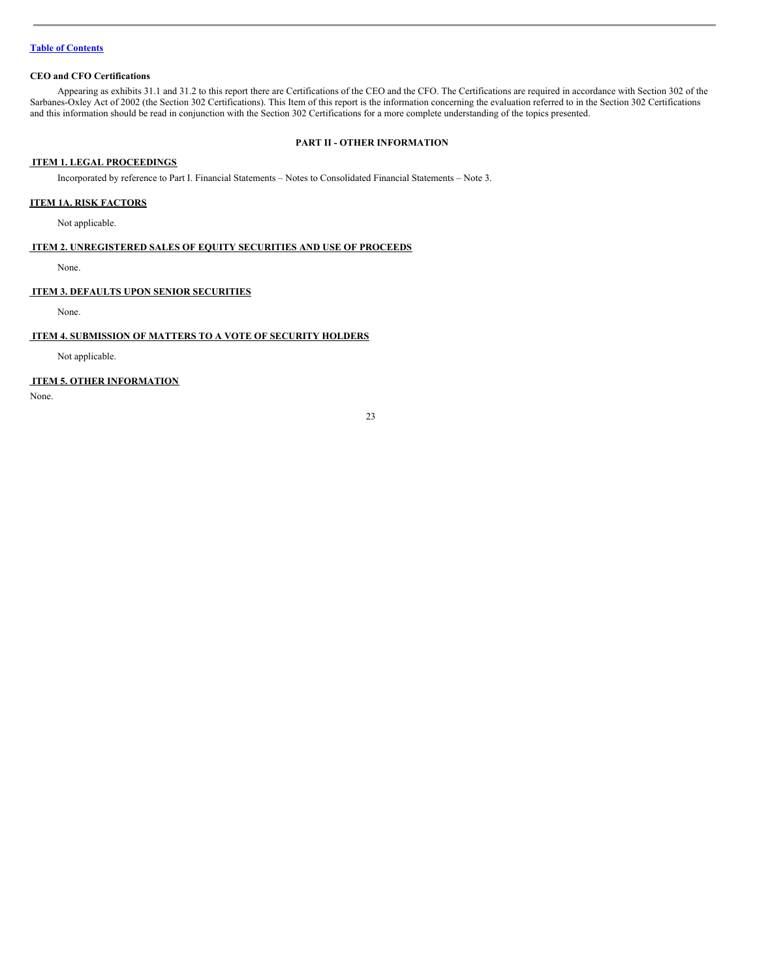#### **CEO and CFO Certifications**

Appearing as exhibits 31.1 and 31.2 to this report there are Certifications of the CEO and the CFO. The Certifications are required in accordance with Section 302 of the Sarbanes-Oxley Act of 2002 (the Section 302 Certifications). This Item of this report is the information concerning the evaluation referred to in the Section 302 Certifications and this information should be read in conjunction with the Section 302 Certifications for a more complete understanding of the topics presented.

# <span id="page-22-0"></span>**PART II - OTHER INFORMATION**

# <span id="page-22-1"></span>**ITEM 1. LEGAL PROCEEDINGS**

Incorporated by reference to Part I. Financial Statements – Notes to Consolidated Financial Statements – Note 3.

# **ITEM 1A. RISK FACTORS**

Not applicable.

#### <span id="page-22-2"></span>**ITEM 2. UNREGISTERED SALES OF EQUITY SECURITIES AND USE OF PROCEEDS**

None.

# <span id="page-22-3"></span>**ITEM 3. DEFAULTS UPON SENIOR SECURITIES**

None.

#### <span id="page-22-4"></span>**ITEM 4. SUBMISSION OF MATTERS TO A VOTE OF SECURITY HOLDERS**

Not applicable.

# <span id="page-22-5"></span>**ITEM 5. OTHER INFORMATION**

None.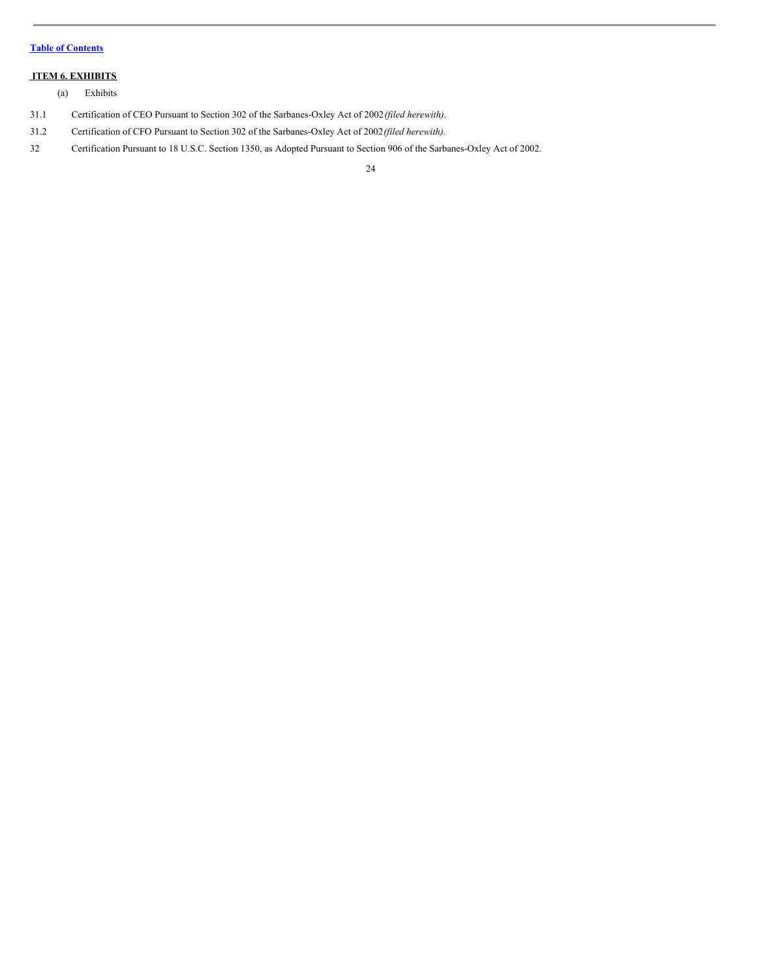# <span id="page-23-0"></span>**ITEM 6. EXHIBITS**

(a) Exhibits

- 31.1 Certification of CEO Pursuant to Section 302 of the Sarbanes-Oxley Act of 2002*(filed herewith)*.
- 31.2 Certification of CFO Pursuant to Section 302 of the Sarbanes-Oxley Act of 2002*(filed herewith)*.
- 32 Certification Pursuant to 18 U.S.C. Section 1350, as Adopted Pursuant to Section 906 of the Sarbanes-Oxley Act of 2002.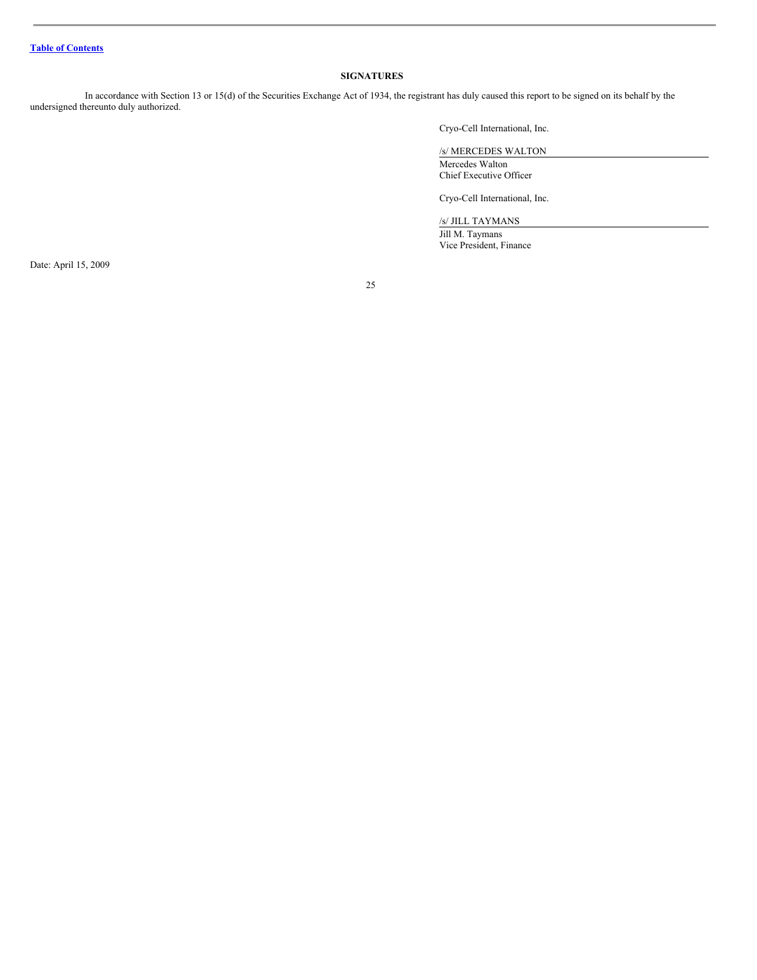#### <span id="page-24-0"></span>**SIGNATURES**

In accordance with Section 13 or 15(d) of the Securities Exchange Act of 1934, the registrant has duly caused this report to be signed on its behalf by the undersigned thereunto duly authorized.

Cryo-Cell International, Inc.

/s/ MERCEDES WALTON Mercedes Walton Chief Executive Officer

Cryo-Cell International, Inc.

/s/ JILL TAYMANS

Jill M. Taymans Vice President, Finance

Date: April 15, 2009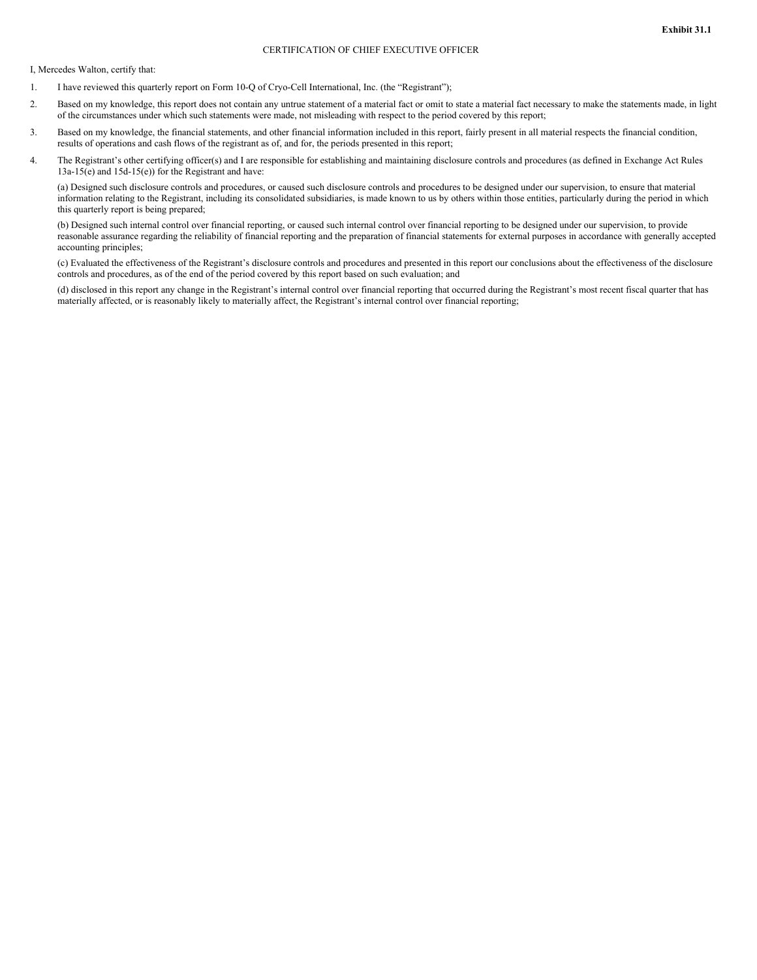I, Mercedes Walton, certify that:

- 1. I have reviewed this quarterly report on Form 10-Q of Cryo-Cell International, Inc. (the "Registrant");
- 2. Based on my knowledge, this report does not contain any untrue statement of a material fact or omit to state a material fact necessary to make the statements made, in light of the circumstances under which such statements were made, not misleading with respect to the period covered by this report;
- 3. Based on my knowledge, the financial statements, and other financial information included in this report, fairly present in all material respects the financial condition, results of operations and cash flows of the registrant as of, and for, the periods presented in this report;
- 4. The Registrant's other certifying officer(s) and I are responsible for establishing and maintaining disclosure controls and procedures (as defined in Exchange Act Rules 13a-15(e) and 15d-15(e)) for the Registrant and have:

(a) Designed such disclosure controls and procedures, or caused such disclosure controls and procedures to be designed under our supervision, to ensure that material information relating to the Registrant, including its consolidated subsidiaries, is made known to us by others within those entities, particularly during the period in which this quarterly report is being prepared;

(b) Designed such internal control over financial reporting, or caused such internal control over financial reporting to be designed under our supervision, to provide reasonable assurance regarding the reliability of financial reporting and the preparation of financial statements for external purposes in accordance with generally accepted accounting principles;

(c) Evaluated the effectiveness of the Registrant's disclosure controls and procedures and presented in this report our conclusions about the effectiveness of the disclosure controls and procedures, as of the end of the period covered by this report based on such evaluation; and

(d) disclosed in this report any change in the Registrant's internal control over financial reporting that occurred during the Registrant's most recent fiscal quarter that has materially affected, or is reasonably likely to materially affect, the Registrant's internal control over financial reporting;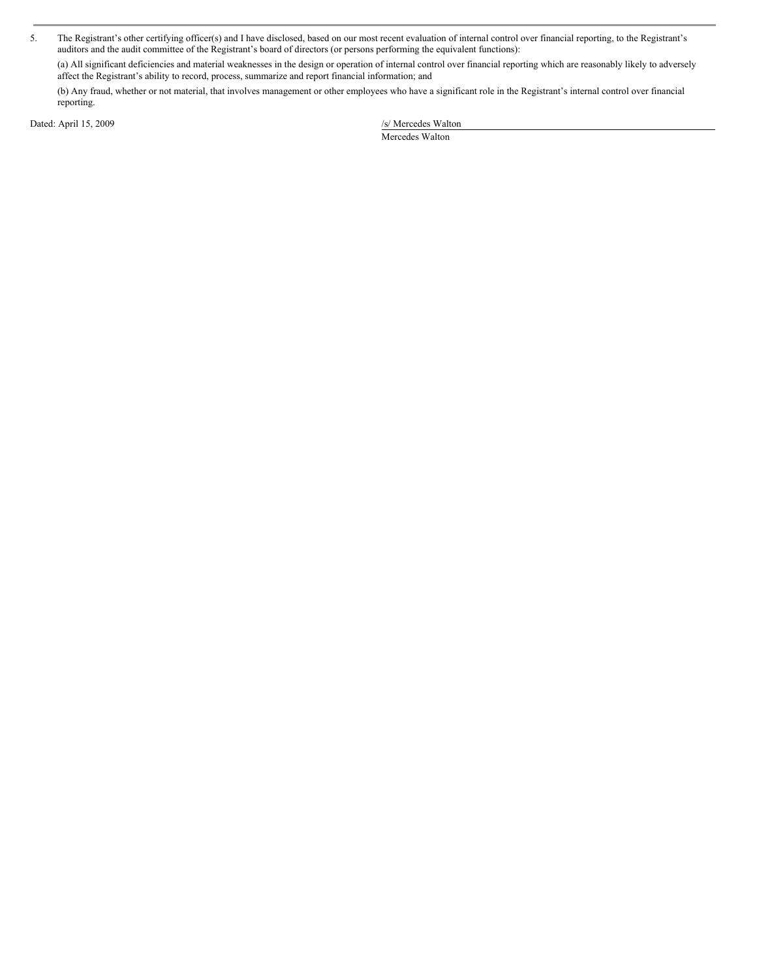5. The Registrant's other certifying officer(s) and I have disclosed, based on our most recent evaluation of internal control over financial reporting, to the Registrant's auditors and the audit committee of the Registrant's board of directors (or persons performing the equivalent functions):

(a) All significant deficiencies and material weaknesses in the design or operation of internal control over financial reporting which are reasonably likely to adversely affect the Registrant's ability to record, process, summarize and report financial information; and

(b) Any fraud, whether or not material, that involves management or other employees who have a significant role in the Registrant's internal control over financial reporting.

Dated: April 15, 2009 /s/ Mercedes Walton

Mercedes Walton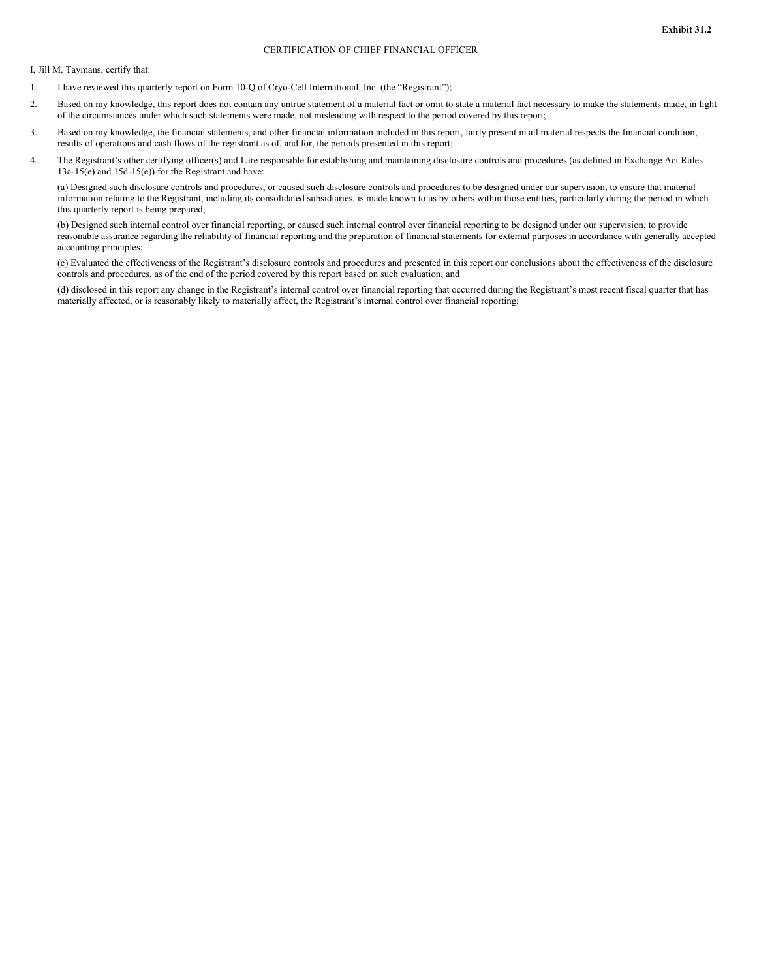#### CERTIFICATION OF CHIEF FINANCIAL OFFICER

I, Jill M. Taymans, certify that:

- 1. I have reviewed this quarterly report on Form 10-Q of Cryo-Cell International, Inc. (the "Registrant");
- 2. Based on my knowledge, this report does not contain any untrue statement of a material fact or omit to state a material fact necessary to make the statements made, in light of the circumstances under which such statements were made, not misleading with respect to the period covered by this report;
- 3. Based on my knowledge, the financial statements, and other financial information included in this report, fairly present in all material respects the financial condition, results of operations and cash flows of the registrant as of, and for, the periods presented in this report;
- 4. The Registrant's other certifying officer(s) and I are responsible for establishing and maintaining disclosure controls and procedures (as defined in Exchange Act Rules 13a-15(e) and 15d-15(e)) for the Registrant and have:

(a) Designed such disclosure controls and procedures, or caused such disclosure controls and procedures to be designed under our supervision, to ensure that material information relating to the Registrant, including its consolidated subsidiaries, is made known to us by others within those entities, particularly during the period in which this quarterly report is being prepared;

(b) Designed such internal control over financial reporting, or caused such internal control over financial reporting to be designed under our supervision, to provide reasonable assurance regarding the reliability of financial reporting and the preparation of financial statements for external purposes in accordance with generally accepted accounting principles;

(c) Evaluated the effectiveness of the Registrant's disclosure controls and procedures and presented in this report our conclusions about the effectiveness of the disclosure controls and procedures, as of the end of the period covered by this report based on such evaluation; and

(d) disclosed in this report any change in the Registrant's internal control over financial reporting that occurred during the Registrant's most recent fiscal quarter that has materially affected, or is reasonably likely to materially affect, the Registrant's internal control over financial reporting;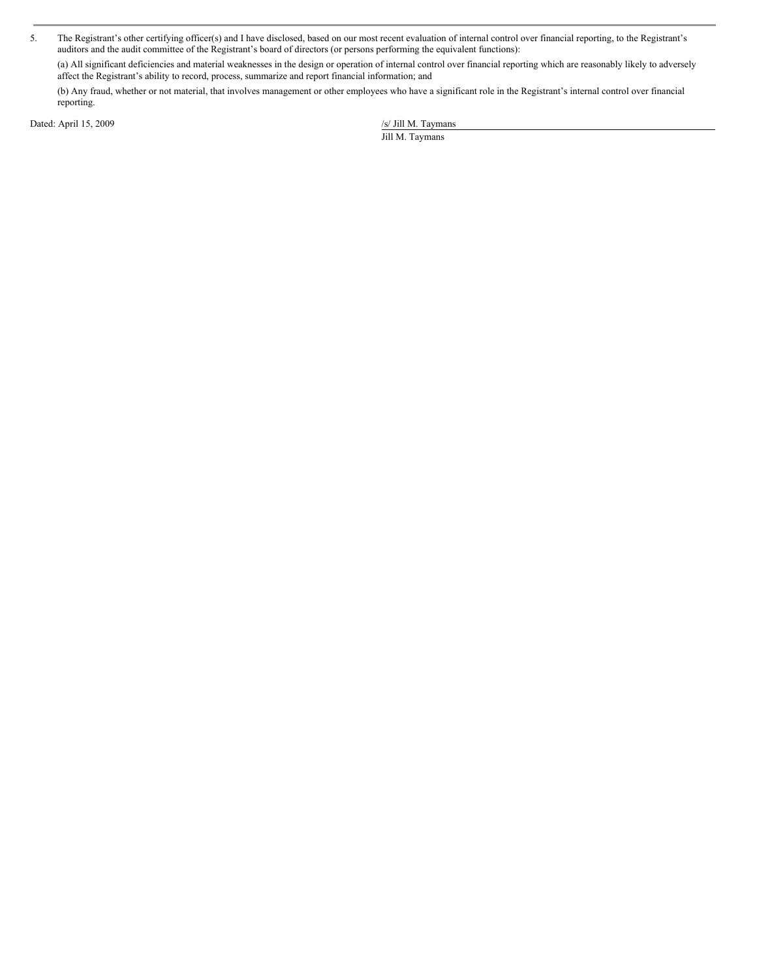5. The Registrant's other certifying officer(s) and I have disclosed, based on our most recent evaluation of internal control over financial reporting, to the Registrant's auditors and the audit committee of the Registrant's board of directors (or persons performing the equivalent functions):

(a) All significant deficiencies and material weaknesses in the design or operation of internal control over financial reporting which are reasonably likely to adversely affect the Registrant's ability to record, process, summarize and report financial information; and

(b) Any fraud, whether or not material, that involves management or other employees who have a significant role in the Registrant's internal control over financial reporting.

Dated: April 15, 2009 /s/ Jill M. Taymans

Jill M. Taymans